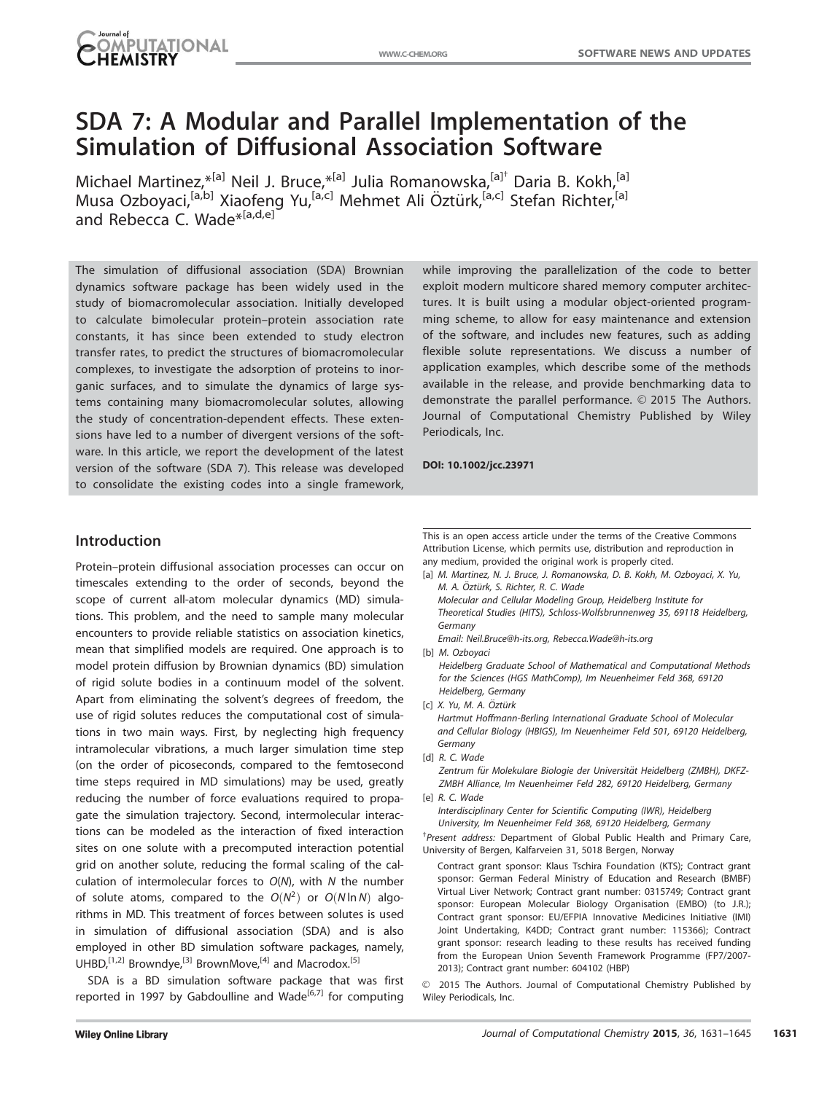# SDA 7: A Modular and Parallel Implementation of the Simulation of Diffusional Association Software

Michael Martinez, <sup>\*[a]</sup> Neil J. Bruce, \*<sup>[a]</sup> Julia Romanowska, <sup>[a]†</sup> Daria B. Kokh, <sup>[a]</sup> Musa Ozboyaci,<sup>[a,b]</sup> Xiaofeng Yu,<sup>[a,c]</sup> Mehmet Ali Öztürk,<sup>[a,c]</sup> Stefan Richter,<sup>[a]</sup> and Rebecca C. Wade\*<sup>[a,d,e]</sup>

The simulation of diffusional association (SDA) Brownian dynamics software package has been widely used in the study of biomacromolecular association. Initially developed to calculate bimolecular protein–protein association rate constants, it has since been extended to study electron transfer rates, to predict the structures of biomacromolecular complexes, to investigate the adsorption of proteins to inorganic surfaces, and to simulate the dynamics of large systems containing many biomacromolecular solutes, allowing the study of concentration-dependent effects. These extensions have led to a number of divergent versions of the software. In this article, we report the development of the latest version of the software (SDA 7). This release was developed to consolidate the existing codes into a single framework,

**PUTATIONAL** 

# while improving the parallelization of the code to better exploit modern multicore shared memory computer architectures. It is built using a modular object-oriented programming scheme, to allow for easy maintenance and extension of the software, and includes new features, such as adding flexible solute representations. We discuss a number of application examples, which describe some of the methods available in the release, and provide benchmarking data to demonstrate the parallel performance.  $\odot$  2015 The Authors. Journal of Computational Chemistry Published by Wiley Periodicals, Inc.

#### DOI: 10.1002/jcc.23971

# Introduction

Protein–protein diffusional association processes can occur on timescales extending to the order of seconds, beyond the scope of current all-atom molecular dynamics (MD) simulations. This problem, and the need to sample many molecular encounters to provide reliable statistics on association kinetics, mean that simplified models are required. One approach is to model protein diffusion by Brownian dynamics (BD) simulation of rigid solute bodies in a continuum model of the solvent. Apart from eliminating the solvent's degrees of freedom, the use of rigid solutes reduces the computational cost of simulations in two main ways. First, by neglecting high frequency intramolecular vibrations, a much larger simulation time step (on the order of picoseconds, compared to the femtosecond time steps required in MD simulations) may be used, greatly reducing the number of force evaluations required to propagate the simulation trajectory. Second, intermolecular interactions can be modeled as the interaction of fixed interaction sites on one solute with a precomputed interaction potential grid on another solute, reducing the formal scaling of the calculation of intermolecular forces to  $O(N)$ , with N the number of solute atoms, compared to the  $O(N^2)$  or  $O(N \ln N)$  algorithms in MD. This treatment of forces between solutes is used in simulation of diffusional association (SDA) and is also employed in other BD simulation software packages, namely, UHBD,<sup>[1,2]</sup> Browndye,<sup>[3]</sup> BrownMove,<sup>[4]</sup> and Macrodox.<sup>[5]</sup>

SDA is a BD simulation software package that was first reported in 1997 by Gabdoulline and Wade<sup>[6,7]</sup> for computing This is an open access article under the terms of the [Creative Commons](http://creativecommons.org/licenses/by/4.0/) [Attribution](http://creativecommons.org/licenses/by/4.0/) License, which permits use, distribution and reproduction in any medium, provided the original work is properly cited.

- [a] M. Martinez, N. J. Bruce, J. Romanowska, D. B. Kokh, M. Ozboyaci, X. Yu, M. A. Öztürk, S. Richter, R. C. Wade Molecular and Cellular Modeling Group, Heidelberg Institute for Theoretical Studies (HITS), Schloss-Wolfsbrunnenweg 35, 69118 Heidelberg, Germany
	- Email: Neil.Bruce@h-its.org, Rebecca.Wade@h-its.org
- [b] M. Ozboyaci

Heidelberg Graduate School of Mathematical and Computational Methods for the Sciences (HGS MathComp), Im Neuenheimer Feld 368, 69120 Heidelberg, Germany

 $[c]$  X. Yu, M. A. Oztürk

Hartmut Hoffmann-Berling International Graduate School of Molecular and Cellular Biology (HBIGS), Im Neuenheimer Feld 501, 69120 Heidelberg, Germany

[d] R. C. Wade

Zentrum für Molekulare Biologie der Universität Heidelberg (ZMBH), DKFZ-ZMBH Alliance, Im Neuenheimer Feld 282, 69120 Heidelberg, Germany [e] R. C. Wade

Interdisciplinary Center for Scientific Computing (IWR), Heidelberg University, Im Neuenheimer Feld 368, 69120 Heidelberg, Germany

<sup>†</sup>Present address: Department of Global Public Health and Primary Care, University of Bergen, Kalfarveien 31, 5018 Bergen, Norway

Contract grant sponsor: Klaus Tschira Foundation (KTS); Contract grant sponsor: German Federal Ministry of Education and Research (BMBF) Virtual Liver Network; Contract grant number: 0315749; Contract grant sponsor: European Molecular Biology Organisation (EMBO) (to J.R.); Contract grant sponsor: EU/EFPIA Innovative Medicines Initiative (IMI) Joint Undertaking, K4DD; Contract grant number: 115366); Contract grant sponsor: research leading to these results has received funding from the European Union Seventh Framework Programme (FP7/2007- 2013); Contract grant number: 604102 (HBP)

 $\odot$  2015 The Authors. Journal of Computational Chemistry Published by Wiley Periodicals, Inc.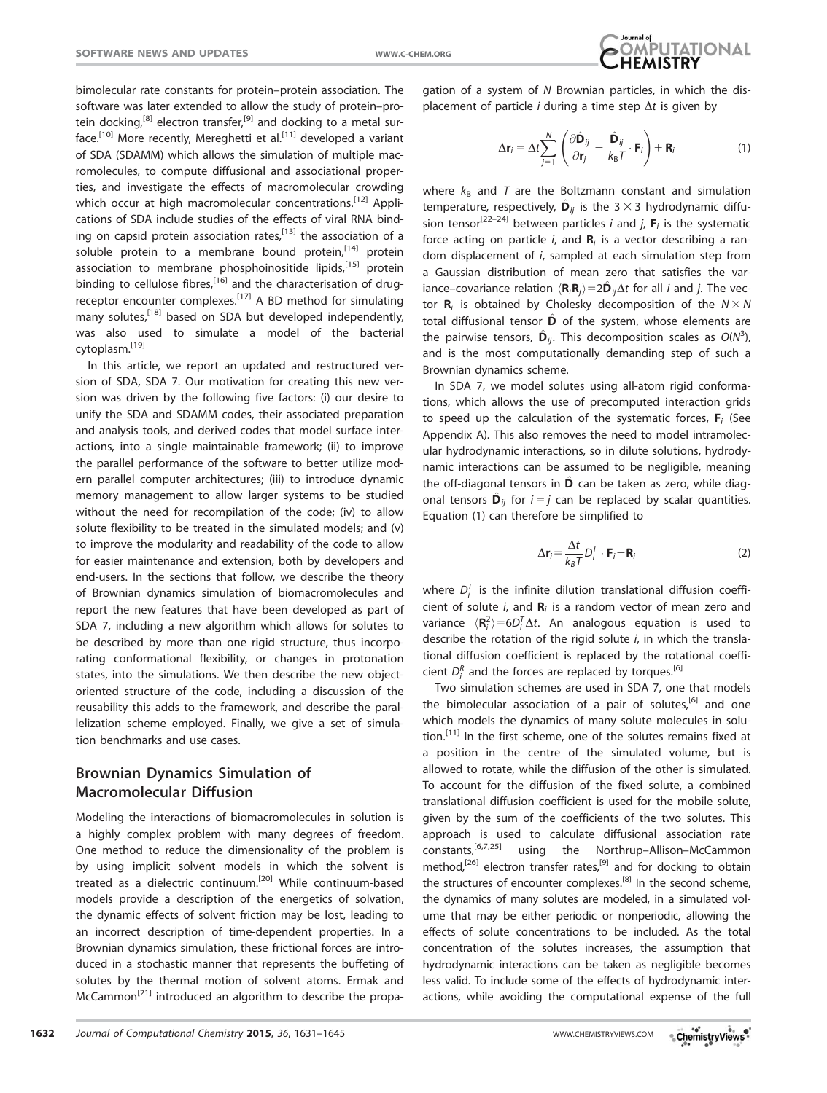

bimolecular rate constants for protein–protein association. The software was later extended to allow the study of protein–protein docking,<sup>[8]</sup> electron transfer,<sup>[9]</sup> and docking to a metal surface.<sup>[10]</sup> More recently, Mereghetti et al.<sup>[11]</sup> developed a variant of SDA (SDAMM) which allows the simulation of multiple macromolecules, to compute diffusional and associational properties, and investigate the effects of macromolecular crowding which occur at high macromolecular concentrations.<sup>[12]</sup> Applications of SDA include studies of the effects of viral RNA binding on capsid protein association rates, $[13]$  the association of a soluble protein to a membrane bound protein,<sup>[14]</sup> protein association to membrane phosphoinositide lipids, $[15]$  protein binding to cellulose fibres,<sup>[16]</sup> and the characterisation of drugreceptor encounter complexes.<sup>[17]</sup> A BD method for simulating many solutes,  $[18]$  based on SDA but developed independently, was also used to simulate a model of the bacterial cytoplasm.<sup>[19]</sup>

In this article, we report an updated and restructured version of SDA, SDA 7. Our motivation for creating this new version was driven by the following five factors: (i) our desire to unify the SDA and SDAMM codes, their associated preparation and analysis tools, and derived codes that model surface interactions, into a single maintainable framework; (ii) to improve the parallel performance of the software to better utilize modern parallel computer architectures; (iii) to introduce dynamic memory management to allow larger systems to be studied without the need for recompilation of the code; (iv) to allow solute flexibility to be treated in the simulated models; and (v) to improve the modularity and readability of the code to allow for easier maintenance and extension, both by developers and end-users. In the sections that follow, we describe the theory of Brownian dynamics simulation of biomacromolecules and report the new features that have been developed as part of SDA 7, including a new algorithm which allows for solutes to be described by more than one rigid structure, thus incorporating conformational flexibility, or changes in protonation states, into the simulations. We then describe the new objectoriented structure of the code, including a discussion of the reusability this adds to the framework, and describe the parallelization scheme employed. Finally, we give a set of simulation benchmarks and use cases.

# Brownian Dynamics Simulation of Macromolecular Diffusion

Modeling the interactions of biomacromolecules in solution is a highly complex problem with many degrees of freedom. One method to reduce the dimensionality of the problem is by using implicit solvent models in which the solvent is treated as a dielectric continuum.[20] While continuum-based models provide a description of the energetics of solvation, the dynamic effects of solvent friction may be lost, leading to an incorrect description of time-dependent properties. In a Brownian dynamics simulation, these frictional forces are introduced in a stochastic manner that represents the buffeting of solutes by the thermal motion of solvent atoms. Ermak and  $McCammon<sup>[21]</sup> introduced an algorithm to describe the propa-$  gation of a system of N Brownian particles, in which the displacement of particle *i* during a time step  $\Delta t$  is given by

$$
\Delta \mathbf{r}_{i} = \Delta t \sum_{j=1}^{N} \left( \frac{\partial \hat{\mathbf{D}}_{ij}}{\partial \mathbf{r}_{j}} + \frac{\hat{\mathbf{D}}_{ij}}{k_{B}T} \cdot \mathbf{F}_{i} \right) + \mathbf{R}_{i}
$$
(1)

where  $k_B$  and T are the Boltzmann constant and simulation temperature, respectively,  $\hat{\mathbf{D}}_{ij}$  is the 3  $\times$  3 hydrodynamic diffusion tensor<sup>[22–24]</sup> between particles *i* and *j*,  $F_i$  is the systematic force acting on particle *i*, and  $\mathbf{R}_i$  is a vector describing a random displacement of i, sampled at each simulation step from a Gaussian distribution of mean zero that satisfies the variance–covariance relation  $\langle \mathbf{R}_i \mathbf{R}_i \rangle = 2\hat{\mathbf{D}}_{ii}\Delta t$  for all *i* and *j*. The vector  $\mathbf{R}_i$  is obtained by Cholesky decomposition of the  $N \times N$ total diffusional tensor  $\hat{\mathbf{D}}$  of the system, whose elements are the pairwise tensors,  $\hat{\mathbf{D}}_{ij}$ . This decomposition scales as  $O(N^3)$ , and is the most computationally demanding step of such a Brownian dynamics scheme.

In SDA 7, we model solutes using all-atom rigid conformations, which allows the use of precomputed interaction grids to speed up the calculation of the systematic forces,  $F_i$  (See Appendix A). This also removes the need to model intramolecular hydrodynamic interactions, so in dilute solutions, hydrodynamic interactions can be assumed to be negligible, meaning the off-diagonal tensors in  $\overline{D}$  can be taken as zero, while diagonal tensors  $\hat{\mathbf{D}}_{ij}$  for  $i = j$  can be replaced by scalar quantities. Equation (1) can therefore be simplified to

$$
\Delta \mathbf{r}_i = \frac{\Delta t}{k_B T} D_i^T \cdot \mathbf{F}_i + \mathbf{R}_i
$$
 (2)

where  $D_i^{\mathcal{T}}$  is the infinite dilution translational diffusion coefficient of solute  $i$ , and  $\mathbf{R}_i$  is a random vector of mean zero and variance  $\langle \mathbf{R}_i^2 \rangle$ =6 $D_i^T \Delta t$ . An analogous equation is used to describe the rotation of the rigid solute i, in which the translational diffusion coefficient is replaced by the rotational coefficient  $D_i^R$  and the forces are replaced by torques.<sup>[6]</sup>

Two simulation schemes are used in SDA 7, one that models the bimolecular association of a pair of solutes, $[6]$  and one which models the dynamics of many solute molecules in solution.<sup>[11]</sup> In the first scheme, one of the solutes remains fixed at a position in the centre of the simulated volume, but is allowed to rotate, while the diffusion of the other is simulated. To account for the diffusion of the fixed solute, a combined translational diffusion coefficient is used for the mobile solute, given by the sum of the coefficients of the two solutes. This approach is used to calculate diffusional association rate constants,[6,7,25] using the Northrup–Allison–McCammon method,<sup>[26]</sup> electron transfer rates,<sup>[9]</sup> and for docking to obtain the structures of encounter complexes.<sup>[8]</sup> In the second scheme, the dynamics of many solutes are modeled, in a simulated volume that may be either periodic or nonperiodic, allowing the effects of solute concentrations to be included. As the total concentration of the solutes increases, the assumption that hydrodynamic interactions can be taken as negligible becomes less valid. To include some of the effects of hydrodynamic interactions, while avoiding the computational expense of the full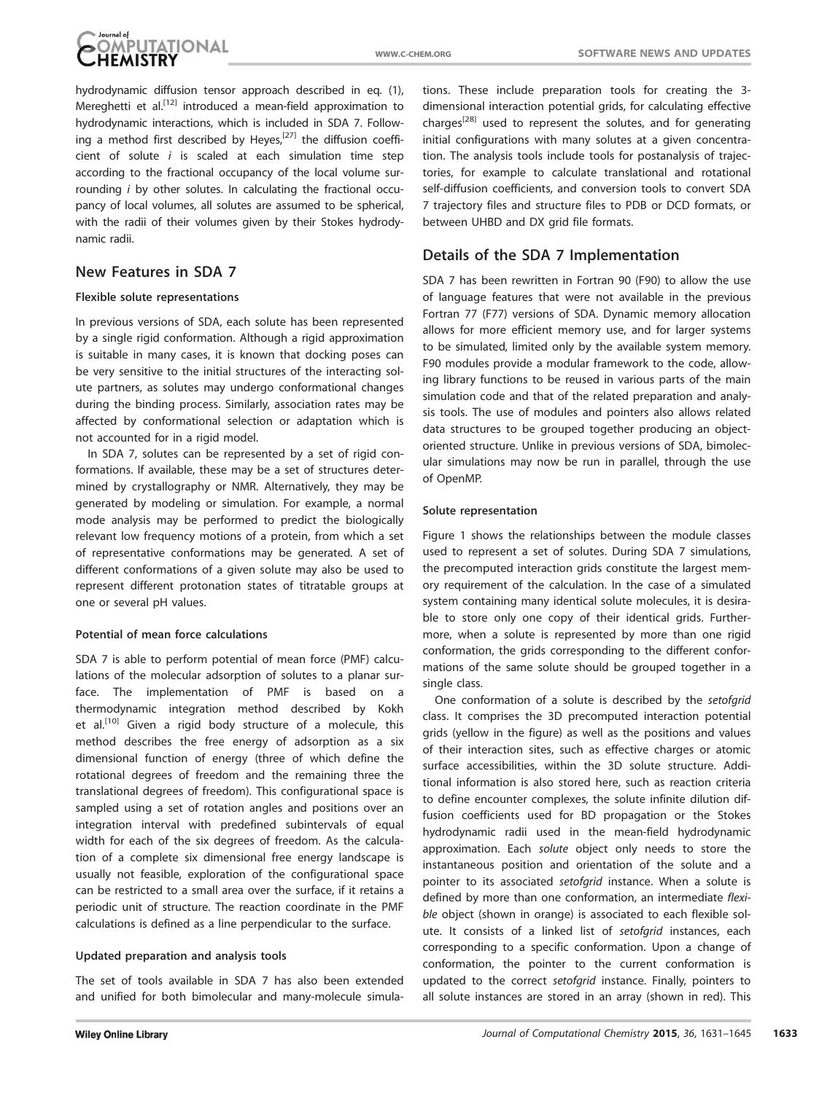



hydrodynamic diffusion tensor approach described in eq. (1), Mereghetti et al.<sup>[12]</sup> introduced a mean-field approximation to hydrodynamic interactions, which is included in SDA 7. Following a method first described by Heyes, $^{[27]}$  the diffusion coefficient of solute  $i$  is scaled at each simulation time step according to the fractional occupancy of the local volume surrounding i by other solutes. In calculating the fractional occupancy of local volumes, all solutes are assumed to be spherical, with the radii of their volumes given by their Stokes hydrodynamic radii.

# New Features in SDA 7

## Flexible solute representations

In previous versions of SDA, each solute has been represented by a single rigid conformation. Although a rigid approximation is suitable in many cases, it is known that docking poses can be very sensitive to the initial structures of the interacting solute partners, as solutes may undergo conformational changes during the binding process. Similarly, association rates may be affected by conformational selection or adaptation which is not accounted for in a rigid model.

In SDA 7, solutes can be represented by a set of rigid conformations. If available, these may be a set of structures determined by crystallography or NMR. Alternatively, they may be generated by modeling or simulation. For example, a normal mode analysis may be performed to predict the biologically relevant low frequency motions of a protein, from which a set of representative conformations may be generated. A set of different conformations of a given solute may also be used to represent different protonation states of titratable groups at one or several pH values.

# Potential of mean force calculations

SDA 7 is able to perform potential of mean force (PMF) calculations of the molecular adsorption of solutes to a planar surface. The implementation of PMF is based on a thermodynamic integration method described by Kokh et al.<sup>[10]</sup> Given a rigid body structure of a molecule, this method describes the free energy of adsorption as a six dimensional function of energy (three of which define the rotational degrees of freedom and the remaining three the translational degrees of freedom). This configurational space is sampled using a set of rotation angles and positions over an integration interval with predefined subintervals of equal width for each of the six degrees of freedom. As the calculation of a complete six dimensional free energy landscape is usually not feasible, exploration of the configurational space can be restricted to a small area over the surface, if it retains a periodic unit of structure. The reaction coordinate in the PMF calculations is defined as a line perpendicular to the surface.

#### Updated preparation and analysis tools

The set of tools available in SDA 7 has also been extended and unified for both bimolecular and many-molecule simulations. These include preparation tools for creating the 3 dimensional interaction potential grids, for calculating effective charges<sup>[28]</sup> used to represent the solutes, and for generating initial configurations with many solutes at a given concentration. The analysis tools include tools for postanalysis of trajectories, for example to calculate translational and rotational self-diffusion coefficients, and conversion tools to convert SDA 7 trajectory files and structure files to PDB or DCD formats, or between UHBD and DX grid file formats.

# Details of the SDA 7 Implementation

SDA 7 has been rewritten in Fortran 90 (F90) to allow the use of language features that were not available in the previous Fortran 77 (F77) versions of SDA. Dynamic memory allocation allows for more efficient memory use, and for larger systems to be simulated, limited only by the available system memory. F90 modules provide a modular framework to the code, allowing library functions to be reused in various parts of the main simulation code and that of the related preparation and analysis tools. The use of modules and pointers also allows related data structures to be grouped together producing an objectoriented structure. Unlike in previous versions of SDA, bimolecular simulations may now be run in parallel, through the use of OpenMP.

## Solute representation

Figure 1 shows the relationships between the module classes used to represent a set of solutes. During SDA 7 simulations, the precomputed interaction grids constitute the largest memory requirement of the calculation. In the case of a simulated system containing many identical solute molecules, it is desirable to store only one copy of their identical grids. Furthermore, when a solute is represented by more than one rigid conformation, the grids corresponding to the different conformations of the same solute should be grouped together in a single class.

One conformation of a solute is described by the setofgrid class. It comprises the 3D precomputed interaction potential grids (yellow in the figure) as well as the positions and values of their interaction sites, such as effective charges or atomic surface accessibilities, within the 3D solute structure. Additional information is also stored here, such as reaction criteria to define encounter complexes, the solute infinite dilution diffusion coefficients used for BD propagation or the Stokes hydrodynamic radii used in the mean-field hydrodynamic approximation. Each solute object only needs to store the instantaneous position and orientation of the solute and a pointer to its associated setofgrid instance. When a solute is defined by more than one conformation, an intermediate flexible object (shown in orange) is associated to each flexible solute. It consists of a linked list of setofgrid instances, each corresponding to a specific conformation. Upon a change of conformation, the pointer to the current conformation is updated to the correct setofgrid instance. Finally, pointers to all solute instances are stored in an array (shown in red). This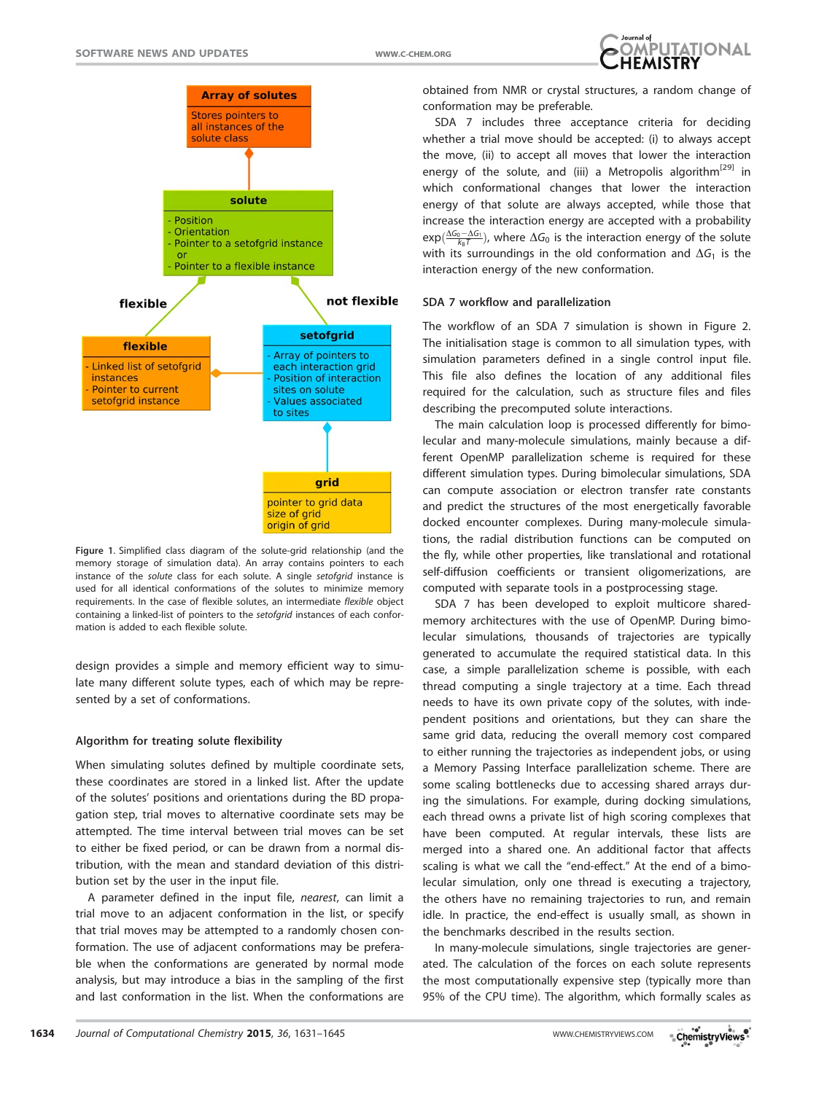



Figure 1. Simplified class diagram of the solute-grid relationship (and the memory storage of simulation data). An array contains pointers to each instance of the solute class for each solute. A single setofgrid instance is used for all identical conformations of the solutes to minimize memory requirements. In the case of flexible solutes, an intermediate flexible object containing a linked-list of pointers to the setofgrid instances of each conformation is added to each flexible solute.

design provides a simple and memory efficient way to simulate many different solute types, each of which may be represented by a set of conformations.

#### Algorithm for treating solute flexibility

When simulating solutes defined by multiple coordinate sets, these coordinates are stored in a linked list. After the update of the solutes' positions and orientations during the BD propagation step, trial moves to alternative coordinate sets may be attempted. The time interval between trial moves can be set to either be fixed period, or can be drawn from a normal distribution, with the mean and standard deviation of this distribution set by the user in the input file.

A parameter defined in the input file, nearest, can limit a trial move to an adjacent conformation in the list, or specify that trial moves may be attempted to a randomly chosen conformation. The use of adjacent conformations may be preferable when the conformations are generated by normal mode analysis, but may introduce a bias in the sampling of the first and last conformation in the list. When the conformations are obtained from NMR or crystal structures, a random change of conformation may be preferable.

SDA 7 includes three acceptance criteria for deciding whether a trial move should be accepted: (i) to always accept the move, (ii) to accept all moves that lower the interaction energy of the solute, and (iii) a Metropolis algorithm<sup>[29]</sup> in which conformational changes that lower the interaction energy of that solute are always accepted, while those that increase the interaction energy are accepted with a probability  $\exp(\frac{\Delta G_0-\Delta G_1}{k_{\text{B}}T})$ , where  $\Delta G_0$  is the interaction energy of the solute with its surroundings in the old conformation and  $\Delta G_1$  is the interaction energy of the new conformation.

#### SDA 7 workflow and parallelization

The workflow of an SDA 7 simulation is shown in Figure 2. The initialisation stage is common to all simulation types, with simulation parameters defined in a single control input file. This file also defines the location of any additional files required for the calculation, such as structure files and files describing the precomputed solute interactions.

The main calculation loop is processed differently for bimolecular and many-molecule simulations, mainly because a different OpenMP parallelization scheme is required for these different simulation types. During bimolecular simulations, SDA can compute association or electron transfer rate constants and predict the structures of the most energetically favorable docked encounter complexes. During many-molecule simulations, the radial distribution functions can be computed on the fly, while other properties, like translational and rotational self-diffusion coefficients or transient oligomerizations, are computed with separate tools in a postprocessing stage.

SDA 7 has been developed to exploit multicore sharedmemory architectures with the use of OpenMP. During bimolecular simulations, thousands of trajectories are typically generated to accumulate the required statistical data. In this case, a simple parallelization scheme is possible, with each thread computing a single trajectory at a time. Each thread needs to have its own private copy of the solutes, with independent positions and orientations, but they can share the same grid data, reducing the overall memory cost compared to either running the trajectories as independent jobs, or using a Memory Passing Interface parallelization scheme. There are some scaling bottlenecks due to accessing shared arrays during the simulations. For example, during docking simulations, each thread owns a private list of high scoring complexes that have been computed. At regular intervals, these lists are merged into a shared one. An additional factor that affects scaling is what we call the "end-effect." At the end of a bimolecular simulation, only one thread is executing a trajectory, the others have no remaining trajectories to run, and remain idle. In practice, the end-effect is usually small, as shown in the benchmarks described in the results section.

In many-molecule simulations, single trajectories are generated. The calculation of the forces on each solute represents the most computationally expensive step (typically more than 95% of the CPU time). The algorithm, which formally scales as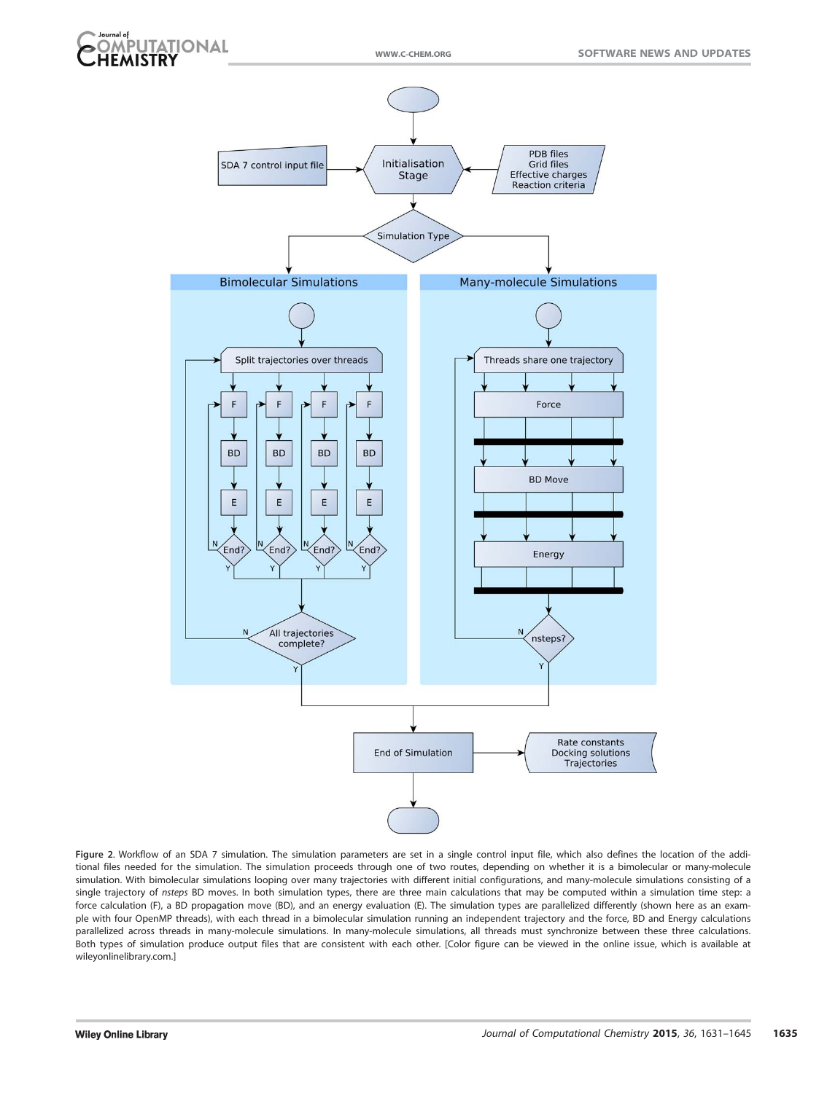

**ATIONAL** 



Figure 2. Workflow of an SDA 7 simulation. The simulation parameters are set in a single control input file, which also defines the location of the additional files needed for the simulation. The simulation proceeds through one of two routes, depending on whether it is a bimolecular or many-molecule simulation. With bimolecular simulations looping over many trajectories with different initial configurations, and many-molecule simulations consisting of a single trajectory of nsteps BD moves. In both simulation types, there are three main calculations that may be computed within a simulation time step: a force calculation (F), a BD propagation move (BD), and an energy evaluation (E). The simulation types are parallelized differently (shown here as an example with four OpenMP threads), with each thread in a bimolecular simulation running an independent trajectory and the force, BD and Energy calculations parallelized across threads in many-molecule simulations. In many-molecule simulations, all threads must synchronize between these three calculations. Both types of simulation produce output files that are consistent with each other. [Color figure can be viewed in the online issue, which is available at [wileyonlinelibrary.com.](http://wileyonlinelibrary.com)]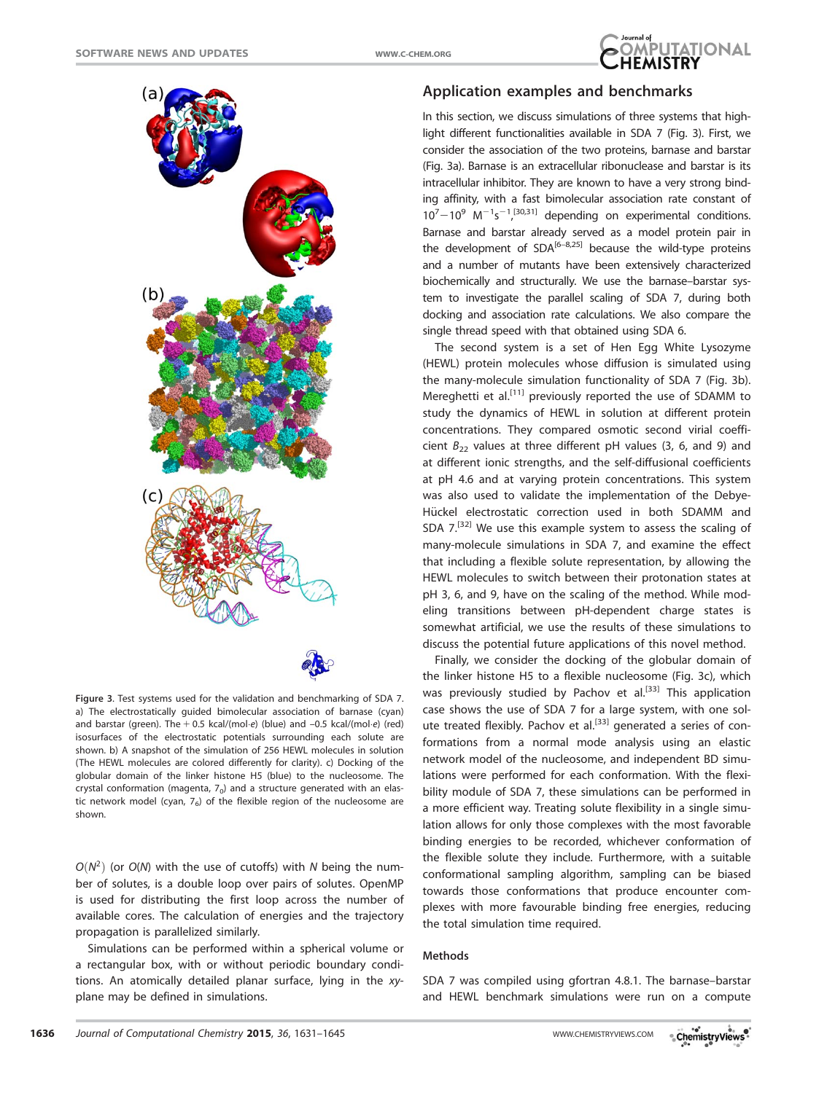



Figure 3. Test systems used for the validation and benchmarking of SDA 7. a) The electrostatically guided bimolecular association of barnase (cyan) and barstar (green). The + 0.5 kcal/(mol-e) (blue) and -0.5 kcal/(mol-e) (red) isosurfaces of the electrostatic potentials surrounding each solute are shown. b) A snapshot of the simulation of 256 HEWL molecules in solution (The HEWL molecules are colored differently for clarity). c) Docking of the globular domain of the linker histone H5 (blue) to the nucleosome. The crystal conformation (magenta,  $7<sub>0</sub>$ ) and a structure generated with an elastic network model (cyan,  $7_6$ ) of the flexible region of the nucleosome are shown.

 $O(N^2)$  (or  $O(N)$  with the use of cutoffs) with N being the number of solutes, is a double loop over pairs of solutes. OpenMP is used for distributing the first loop across the number of available cores. The calculation of energies and the trajectory propagation is parallelized similarly.

Simulations can be performed within a spherical volume or a rectangular box, with or without periodic boundary conditions. An atomically detailed planar surface, lying in the xyplane may be defined in simulations.

# Application examples and benchmarks

In this section, we discuss simulations of three systems that highlight different functionalities available in SDA 7 (Fig. 3). First, we consider the association of the two proteins, barnase and barstar (Fig. 3a). Barnase is an extracellular ribonuclease and barstar is its intracellular inhibitor. They are known to have a very strong binding affinity, with a fast bimolecular association rate constant of  $10^7 - 10^9$  M<sup>-1</sup>s<sup>-1</sup>,<sup>[30,31]</sup> depending on experimental conditions. Barnase and barstar already served as a model protein pair in the development of  $SDA^{[6-8,25]}$  because the wild-type proteins and a number of mutants have been extensively characterized biochemically and structurally. We use the barnase–barstar system to investigate the parallel scaling of SDA 7, during both docking and association rate calculations. We also compare the single thread speed with that obtained using SDA 6.

The second system is a set of Hen Egg White Lysozyme (HEWL) protein molecules whose diffusion is simulated using the many-molecule simulation functionality of SDA 7 (Fig. 3b). Mereghetti et al. $[11]$  previously reported the use of SDAMM to study the dynamics of HEWL in solution at different protein concentrations. They compared osmotic second virial coefficient  $B_{22}$  values at three different pH values (3, 6, and 9) and at different ionic strengths, and the self-diffusional coefficients at pH 4.6 and at varying protein concentrations. This system was also used to validate the implementation of the Debye-Hückel electrostatic correction used in both SDAMM and SDA  $7^{[32]}$  We use this example system to assess the scaling of many-molecule simulations in SDA 7, and examine the effect that including a flexible solute representation, by allowing the HEWL molecules to switch between their protonation states at pH 3, 6, and 9, have on the scaling of the method. While modeling transitions between pH-dependent charge states is somewhat artificial, we use the results of these simulations to discuss the potential future applications of this novel method.

Finally, we consider the docking of the globular domain of the linker histone H5 to a flexible nucleosome (Fig. 3c), which was previously studied by Pachov et al.<sup>[33]</sup> This application case shows the use of SDA 7 for a large system, with one solute treated flexibly. Pachov et al.<sup>[33]</sup> generated a series of conformations from a normal mode analysis using an elastic network model of the nucleosome, and independent BD simulations were performed for each conformation. With the flexibility module of SDA 7, these simulations can be performed in a more efficient way. Treating solute flexibility in a single simulation allows for only those complexes with the most favorable binding energies to be recorded, whichever conformation of the flexible solute they include. Furthermore, with a suitable conformational sampling algorithm, sampling can be biased towards those conformations that produce encounter complexes with more favourable binding free energies, reducing the total simulation time required.

#### Methods

SDA 7 was compiled using gfortran 4.8.1. The barnase–barstar and HEWL benchmark simulations were run on a compute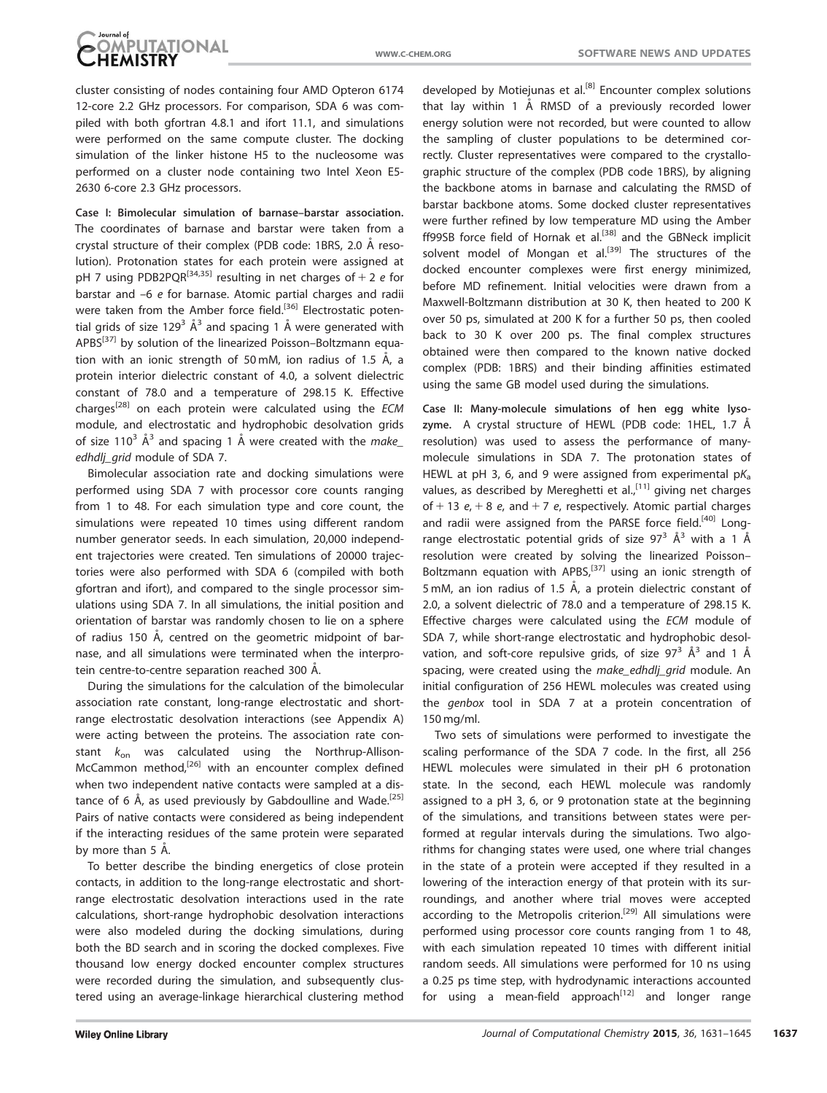# **MPUTATIONAL**

cluster consisting of nodes containing four AMD Opteron 6174 12-core 2.2 GHz processors. For comparison, SDA 6 was compiled with both gfortran 4.8.1 and ifort 11.1, and simulations were performed on the same compute cluster. The docking simulation of the linker histone H5 to the nucleosome was performed on a cluster node containing two Intel Xeon E5- 2630 6-core 2.3 GHz processors.

Case I: Bimolecular simulation of barnase–barstar association. The coordinates of barnase and barstar were taken from a crystal structure of their complex (PDB code: 1BRS, 2.0 Å resolution). Protonation states for each protein were assigned at pH 7 using PDB2PQR<sup>[34,35]</sup> resulting in net charges of + 2 e for barstar and –6 e for barnase. Atomic partial charges and radii were taken from the Amber force field.<sup>[36]</sup> Electrostatic potential grids of size 129<sup>3</sup>  $\AA$ <sup>3</sup> and spacing 1  $\AA$  were generated with APBS<sup>[37]</sup> by solution of the linearized Poisson–Boltzmann equation with an ionic strength of 50 mM, ion radius of 1.5 Å, a protein interior dielectric constant of 4.0, a solvent dielectric constant of 78.0 and a temperature of 298.15 K. Effective charges<sup>[28]</sup> on each protein were calculated using the  $ECM$ module, and electrostatic and hydrophobic desolvation grids of size 110<sup>3</sup>  $\AA$ <sup>3</sup> and spacing 1  $\AA$  were created with the make edhdlj\_grid module of SDA 7.

Bimolecular association rate and docking simulations were performed using SDA 7 with processor core counts ranging from 1 to 48. For each simulation type and core count, the simulations were repeated 10 times using different random number generator seeds. In each simulation, 20,000 independent trajectories were created. Ten simulations of 20000 trajectories were also performed with SDA 6 (compiled with both gfortran and ifort), and compared to the single processor simulations using SDA 7. In all simulations, the initial position and orientation of barstar was randomly chosen to lie on a sphere of radius 150 Å, centred on the geometric midpoint of barnase, and all simulations were terminated when the interprotein centre-to-centre separation reached 300 Å.

During the simulations for the calculation of the bimolecular association rate constant, long-range electrostatic and shortrange electrostatic desolvation interactions (see Appendix A) were acting between the proteins. The association rate constant  $k_{\text{on}}$  was calculated using the Northrup-Allison-McCammon method, $^{[26]}$  with an encounter complex defined when two independent native contacts were sampled at a distance of 6  $\AA$ , as used previously by Gabdoulline and Wade.<sup>[25]</sup> Pairs of native contacts were considered as being independent if the interacting residues of the same protein were separated by more than 5 A.

To better describe the binding energetics of close protein contacts, in addition to the long-range electrostatic and shortrange electrostatic desolvation interactions used in the rate calculations, short-range hydrophobic desolvation interactions were also modeled during the docking simulations, during both the BD search and in scoring the docked complexes. Five thousand low energy docked encounter complex structures were recorded during the simulation, and subsequently clustered using an average-linkage hierarchical clustering method developed by Motiejunas et al.<sup>[8]</sup> Encounter complex solutions that lay within 1  $\AA$  RMSD of a previously recorded lower energy solution were not recorded, but were counted to allow the sampling of cluster populations to be determined correctly. Cluster representatives were compared to the crystallographic structure of the complex (PDB code 1BRS), by aligning the backbone atoms in barnase and calculating the RMSD of barstar backbone atoms. Some docked cluster representatives were further refined by low temperature MD using the Amber ff99SB force field of Hornak et al.<sup>[38]</sup> and the GBNeck implicit solvent model of Mongan et al.<sup>[39]</sup> The structures of the docked encounter complexes were first energy minimized, before MD refinement. Initial velocities were drawn from a Maxwell-Boltzmann distribution at 30 K, then heated to 200 K over 50 ps, simulated at 200 K for a further 50 ps, then cooled back to 30 K over 200 ps. The final complex structures obtained were then compared to the known native docked complex (PDB: 1BRS) and their binding affinities estimated using the same GB model used during the simulations.

Case II: Many-molecule simulations of hen egg white lysozyme. A crystal structure of HEWL (PDB code: 1HEL, 1.7 A˚ resolution) was used to assess the performance of manymolecule simulations in SDA 7. The protonation states of HEWL at pH 3, 6, and 9 were assigned from experimental  $pK_a$ values, as described by Mereghetti et al., $[11]$  giving net charges of + 13  $e$ , + 8  $e$ , and + 7  $e$ , respectively. Atomic partial charges and radii were assigned from the PARSE force field.<sup>[40]</sup> Longrange electrostatic potential grids of size  $97^3$   $\AA$ <sup>3</sup> with a 1  $\AA$ resolution were created by solving the linearized Poisson– Boltzmann equation with APBS, $^{[37]}$  using an ionic strength of 5 mM, an ion radius of 1.5  $\AA$ , a protein dielectric constant of 2.0, a solvent dielectric of 78.0 and a temperature of 298.15 K. Effective charges were calculated using the ECM module of SDA 7, while short-range electrostatic and hydrophobic desolvation, and soft-core repulsive grids, of size  $97^3$   $\AA^3$  and 1  $\AA$ spacing, were created using the make\_edhdlj\_grid module. An initial configuration of 256 HEWL molecules was created using the genbox tool in SDA 7 at a protein concentration of 150 mg/ml.

Two sets of simulations were performed to investigate the scaling performance of the SDA 7 code. In the first, all 256 HEWL molecules were simulated in their pH 6 protonation state. In the second, each HEWL molecule was randomly assigned to a pH 3, 6, or 9 protonation state at the beginning of the simulations, and transitions between states were performed at regular intervals during the simulations. Two algorithms for changing states were used, one where trial changes in the state of a protein were accepted if they resulted in a lowering of the interaction energy of that protein with its surroundings, and another where trial moves were accepted according to the Metropolis criterion.<sup>[29]</sup> All simulations were performed using processor core counts ranging from 1 to 48, with each simulation repeated 10 times with different initial random seeds. All simulations were performed for 10 ns using a 0.25 ps time step, with hydrodynamic interactions accounted for using a mean-field approach<sup>[12]</sup> and longer range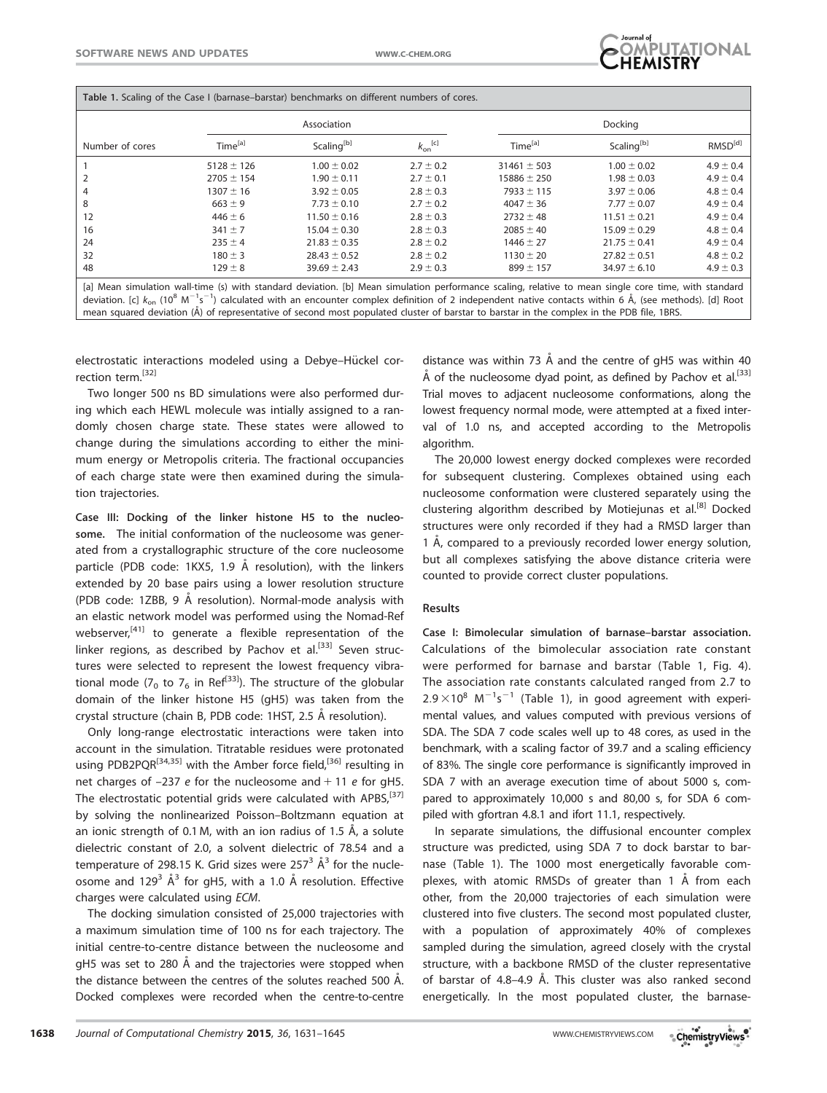

Table 1. Scaling of the Case I (barnase–barstar) benchmarks on different numbers of cores.

| Number of cores | Association         |                        |                         | Docking                                                                                                                                                                                                                                                                                                                                                 |                        |                     |
|-----------------|---------------------|------------------------|-------------------------|---------------------------------------------------------------------------------------------------------------------------------------------------------------------------------------------------------------------------------------------------------------------------------------------------------------------------------------------------------|------------------------|---------------------|
|                 | Time <sup>[a]</sup> | Scaling <sup>[b]</sup> | $k_{on}$ <sup>[c]</sup> | Time <sup>[a]</sup>                                                                                                                                                                                                                                                                                                                                     | Scaling <sup>[b]</sup> | RMSD <sup>[d]</sup> |
|                 | $5128 \pm 126$      | $1.00 \pm 0.02$        | $2.7 \pm 0.2$           | $31461 \pm 503$                                                                                                                                                                                                                                                                                                                                         | $1.00 \pm 0.02$        | $4.9 \pm 0.4$       |
|                 | $2705 \pm 154$      | $1.90 \pm 0.11$        | $2.7 \pm 0.1$           | $15886 \pm 250$                                                                                                                                                                                                                                                                                                                                         | $1.98 \pm 0.03$        | $4.9 \pm 0.4$       |
| 4               | $1307 \pm 16$       | $3.92 \pm 0.05$        | $2.8 \pm 0.3$           | $7933 \pm 115$                                                                                                                                                                                                                                                                                                                                          | $3.97 \pm 0.06$        | $4.8 \pm 0.4$       |
| 8               | $663 \pm 9$         | $7.73 \pm 0.10$        | $2.7 \pm 0.2$           | $4047 \pm 36$                                                                                                                                                                                                                                                                                                                                           | $7.77 \pm 0.07$        | $4.9 \pm 0.4$       |
| 12              | $446 \pm 6$         | $11.50 \pm 0.16$       | $2.8 \pm 0.3$           | $2732 \pm 48$                                                                                                                                                                                                                                                                                                                                           | $11.51 \pm 0.21$       | $4.9 \pm 0.4$       |
| 16              | $341 \pm 7$         | $15.04 \pm 0.30$       | $2.8 \pm 0.3$           | $2085 \pm 40$                                                                                                                                                                                                                                                                                                                                           | $15.09 \pm 0.29$       | $4.8 \pm 0.4$       |
| 24              | $235 \pm 4$         | $21.83 \pm 0.35$       | $2.8 \pm 0.2$           | $1446 \pm 27$                                                                                                                                                                                                                                                                                                                                           | $21.75 \pm 0.41$       | $4.9 \pm 0.4$       |
| 32              | $180 \pm 3$         | $28.43 \pm 0.52$       | $2.8 \pm 0.2$           | $1130 \pm 20$                                                                                                                                                                                                                                                                                                                                           | $27.82 \pm 0.51$       | $4.8 \pm 0.2$       |
| 48              | $129 \pm 8$         | $39.69 \pm 2.43$       | $2.9 \pm 0.3$           | $899 \pm 157$                                                                                                                                                                                                                                                                                                                                           | $34.97 \pm 6.10$       | $4.9 \pm 0.3$       |
|                 |                     |                        |                         | [a] Mean simulation wall-time (s) with standard deviation. [b] Mean simulation performance scaling, relative to mean single core time, with standard<br>deviation. [c] $k_{on}$ (10 <sup>8</sup> M <sup>-1</sup> s <sup>-1</sup> ) calculated with an encounter complex definition of 2 independent native contacts within 6 Å, (see methods). [d] Root |                        |                     |

mean squared deviation (Å) of representative of second most populated cluster of barstar to barstar in the complex in the PDB file, 1BRS.

electrostatic interactions modeled using a Debye-Hückel correction term.[32]

Two longer 500 ns BD simulations were also performed during which each HEWL molecule was intially assigned to a randomly chosen charge state. These states were allowed to change during the simulations according to either the minimum energy or Metropolis criteria. The fractional occupancies of each charge state were then examined during the simulation trajectories.

Case III: Docking of the linker histone H5 to the nucleosome. The initial conformation of the nucleosome was generated from a crystallographic structure of the core nucleosome particle (PDB code: 1KX5, 1.9 Å resolution), with the linkers extended by 20 base pairs using a lower resolution structure (PDB code: 1ZBB, 9 Å resolution). Normal-mode analysis with an elastic network model was performed using the Nomad-Ref webserver, $[41]$  to generate a flexible representation of the linker regions, as described by Pachov et al.<sup>[33]</sup> Seven structures were selected to represent the lowest frequency vibrational mode ( $7<sub>0</sub>$  to  $7<sub>6</sub>$  in Ref<sup>[33]</sup>). The structure of the globular domain of the linker histone H5 (gH5) was taken from the crystal structure (chain B, PDB code: 1HST, 2.5 A˚ resolution).

Only long-range electrostatic interactions were taken into account in the simulation. Titratable residues were protonated using PDB2PQR<sup>[34,35]</sup> with the Amber force field,<sup>[36]</sup> resulting in net charges of  $-237$  e for the nucleosome and  $+11$  e for gH5. The electrostatic potential grids were calculated with APBS,<sup>[37]</sup> by solving the nonlinearized Poisson–Boltzmann equation at an ionic strength of 0.1 M, with an ion radius of 1.5  $\AA$ , a solute dielectric constant of 2.0, a solvent dielectric of 78.54 and a temperature of 298.15 K. Grid sizes were  $257<sup>3</sup>$  Å<sup>3</sup> for the nucleosome and  $129^3$   $\AA^3$  for gH5, with a 1.0  $\AA$  resolution. Effective charges were calculated using ECM.

The docking simulation consisted of 25,000 trajectories with a maximum simulation time of 100 ns for each trajectory. The initial centre-to-centre distance between the nucleosome and gH5 was set to 280 Å and the trajectories were stopped when the distance between the centres of the solutes reached 500 Å. Docked complexes were recorded when the centre-to-centre distance was within 73  $\AA$  and the centre of qH5 was within 40  $\AA$  of the nucleosome dyad point, as defined by Pachov et al.<sup>[33]</sup> Trial moves to adjacent nucleosome conformations, along the lowest frequency normal mode, were attempted at a fixed interval of 1.0 ns, and accepted according to the Metropolis algorithm.

The 20,000 lowest energy docked complexes were recorded for subsequent clustering. Complexes obtained using each nucleosome conformation were clustered separately using the clustering algorithm described by Motiejunas et al.<sup>[8]</sup> Docked structures were only recorded if they had a RMSD larger than 1 A, compared to a previously recorded lower energy solution, but all complexes satisfying the above distance criteria were counted to provide correct cluster populations.

#### Results

Case I: Bimolecular simulation of barnase–barstar association. Calculations of the bimolecular association rate constant were performed for barnase and barstar (Table 1, Fig. 4). The association rate constants calculated ranged from 2.7 to  $2.9 \times 10^8$  M<sup>-1</sup>s<sup>-1</sup> (Table 1), in good agreement with experimental values, and values computed with previous versions of SDA. The SDA 7 code scales well up to 48 cores, as used in the benchmark, with a scaling factor of 39.7 and a scaling efficiency of 83%. The single core performance is significantly improved in SDA 7 with an average execution time of about 5000 s, compared to approximately 10,000 s and 80,00 s, for SDA 6 compiled with gfortran 4.8.1 and ifort 11.1, respectively.

In separate simulations, the diffusional encounter complex structure was predicted, using SDA 7 to dock barstar to barnase (Table 1). The 1000 most energetically favorable complexes, with atomic RMSDs of greater than 1 Å from each other, from the 20,000 trajectories of each simulation were clustered into five clusters. The second most populated cluster, with a population of approximately 40% of complexes sampled during the simulation, agreed closely with the crystal structure, with a backbone RMSD of the cluster representative of barstar of 4.8–4.9 Å. This cluster was also ranked second energetically. In the most populated cluster, the barnase-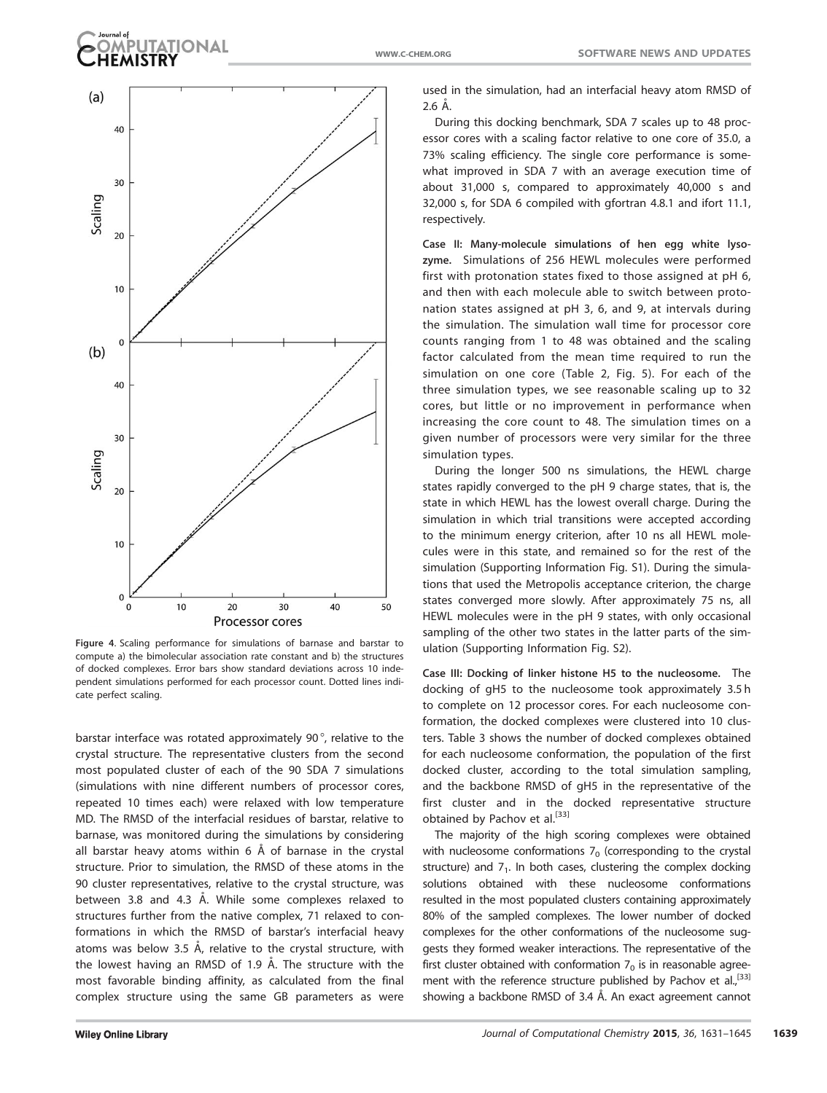

**TATIONAL** 

Figure 4. Scaling performance for simulations of barnase and barstar to compute a) the bimolecular association rate constant and b) the structures of docked complexes. Error bars show standard deviations across 10 independent simulations performed for each processor count. Dotted lines indicate perfect scaling.

barstar interface was rotated approximately 90 $^{\circ}$ , relative to the crystal structure. The representative clusters from the second most populated cluster of each of the 90 SDA 7 simulations (simulations with nine different numbers of processor cores, repeated 10 times each) were relaxed with low temperature MD. The RMSD of the interfacial residues of barstar, relative to barnase, was monitored during the simulations by considering all barstar heavy atoms within  $6$  Å of barnase in the crystal structure. Prior to simulation, the RMSD of these atoms in the 90 cluster representatives, relative to the crystal structure, was between 3.8 and 4.3 Å. While some complexes relaxed to structures further from the native complex, 71 relaxed to conformations in which the RMSD of barstar's interfacial heavy atoms was below 3.5 Å, relative to the crystal structure, with the lowest having an RMSD of 1.9 Å. The structure with the most favorable binding affinity, as calculated from the final complex structure using the same GB parameters as were used in the simulation, had an interfacial heavy atom RMSD of  $2.6 \text{ Å}.$ 

During this docking benchmark, SDA 7 scales up to 48 processor cores with a scaling factor relative to one core of 35.0, a 73% scaling efficiency. The single core performance is somewhat improved in SDA 7 with an average execution time of about 31,000 s, compared to approximately 40,000 s and 32,000 s, for SDA 6 compiled with gfortran 4.8.1 and ifort 11.1, respectively.

Case II: Many-molecule simulations of hen egg white lysozyme. Simulations of 256 HEWL molecules were performed first with protonation states fixed to those assigned at pH 6, and then with each molecule able to switch between protonation states assigned at pH 3, 6, and 9, at intervals during the simulation. The simulation wall time for processor core counts ranging from 1 to 48 was obtained and the scaling factor calculated from the mean time required to run the simulation on one core (Table 2, Fig. 5). For each of the three simulation types, we see reasonable scaling up to 32 cores, but little or no improvement in performance when increasing the core count to 48. The simulation times on a given number of processors were very similar for the three simulation types.

During the longer 500 ns simulations, the HEWL charge states rapidly converged to the pH 9 charge states, that is, the state in which HEWL has the lowest overall charge. During the simulation in which trial transitions were accepted according to the minimum energy criterion, after 10 ns all HEWL molecules were in this state, and remained so for the rest of the simulation (Supporting Information Fig. S1). During the simulations that used the Metropolis acceptance criterion, the charge states converged more slowly. After approximately 75 ns, all HEWL molecules were in the pH 9 states, with only occasional sampling of the other two states in the latter parts of the simulation (Supporting Information Fig. S2).

Case III: Docking of linker histone H5 to the nucleosome. The docking of gH5 to the nucleosome took approximately 3.5 h to complete on 12 processor cores. For each nucleosome conformation, the docked complexes were clustered into 10 clusters. Table 3 shows the number of docked complexes obtained for each nucleosome conformation, the population of the first docked cluster, according to the total simulation sampling, and the backbone RMSD of gH5 in the representative of the first cluster and in the docked representative structure obtained by Pachov et al.<sup>[33]</sup>

The majority of the high scoring complexes were obtained with nucleosome conformations  $7<sub>0</sub>$  (corresponding to the crystal structure) and  $7<sub>1</sub>$ . In both cases, clustering the complex docking solutions obtained with these nucleosome conformations resulted in the most populated clusters containing approximately 80% of the sampled complexes. The lower number of docked complexes for the other conformations of the nucleosome suggests they formed weaker interactions. The representative of the first cluster obtained with conformation  $7<sub>0</sub>$  is in reasonable agreement with the reference structure published by Pachov et al.,<sup>[33]</sup> showing a backbone RMSD of 3.4 Å. An exact agreement cannot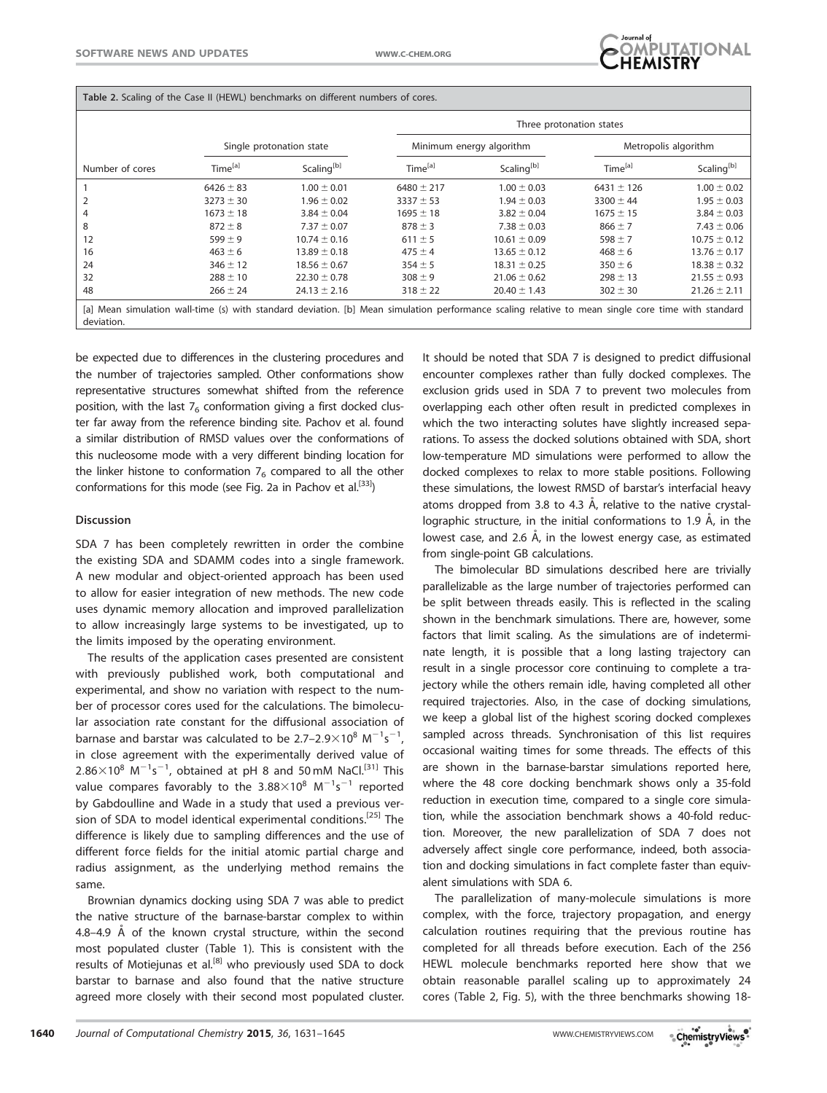

Table 2. Scaling of the Case II (HEWL) benchmarks on different numbers of cores.

|                 |                          |                        | Three protonation states |                                                                                                                                                    |                      |                        |  |
|-----------------|--------------------------|------------------------|--------------------------|----------------------------------------------------------------------------------------------------------------------------------------------------|----------------------|------------------------|--|
| Number of cores | Single protonation state |                        | Minimum energy algorithm |                                                                                                                                                    | Metropolis algorithm |                        |  |
|                 | Time <sup>[a]</sup>      | Scaling <sup>[b]</sup> | Time <sup>[a]</sup>      | Scaling <sup>[b]</sup>                                                                                                                             | Time <sup>[a]</sup>  | Scaling <sup>[b]</sup> |  |
|                 | $6426 \pm 83$            | $1.00 \pm 0.01$        | $6480 \pm 217$           | $1.00 \pm 0.03$                                                                                                                                    | $6431 \pm 126$       | $1.00 \pm 0.02$        |  |
|                 | $3273 \pm 30$            | $1.96 \pm 0.02$        | $3337 \pm 53$            | $1.94 \pm 0.03$                                                                                                                                    | $3300 \pm 44$        | $1.95 \pm 0.03$        |  |
| 4               | $1673 \pm 18$            | $3.84 \pm 0.04$        | $1695 \pm 18$            | $3.82 \pm 0.04$                                                                                                                                    | $1675 \pm 15$        | $3.84 \pm 0.03$        |  |
| 8               | $872 \pm 8$              | $7.37 \pm 0.07$        | $878 \pm 3$              | $7.38 \pm 0.03$                                                                                                                                    | $866 \pm 7$          | $7.43 \pm 0.06$        |  |
| 12              | $599 \pm 9$              | $10.74 \pm 0.16$       | $611 \pm 5$              | $10.61 \pm 0.09$                                                                                                                                   | $598 \pm 7$          | $10.75 \pm 0.12$       |  |
| 16              | $463 \pm 6$              | $13.89 \pm 0.18$       | $475 \pm 4$              | $13.65 \pm 0.12$                                                                                                                                   | $468 \pm 6$          | $13.76 \pm 0.17$       |  |
| 24              | $346 \pm 12$             | $18.56 \pm 0.67$       | $354 \pm 5$              | $18.31 \pm 0.25$                                                                                                                                   | $350 \pm 6$          | $18.38 \pm 0.32$       |  |
| 32              | $288 \pm 10$             | $22.30 \pm 0.78$       | $308 \pm 9$              | $21.06 \pm 0.62$                                                                                                                                   | $298 \pm 13$         | $21.55 \pm 0.93$       |  |
| 48              | $266 \pm 24$             | $24.13 \pm 2.16$       | $318 \pm 22$             | $20.40 \pm 1.43$                                                                                                                                   | $302 \pm 30$         | $21.26 \pm 2.11$       |  |
| deviation.      |                          |                        |                          | [a] Mean simulation wall-time (s) with standard deviation. [b] Mean simulation performance scaling relative to mean single core time with standard |                      |                        |  |

be expected due to differences in the clustering procedures and the number of trajectories sampled. Other conformations show representative structures somewhat shifted from the reference position, with the last  $7<sub>6</sub>$  conformation giving a first docked cluster far away from the reference binding site. Pachov et al. found a similar distribution of RMSD values over the conformations of this nucleosome mode with a very different binding location for the linker histone to conformation  $76$  compared to all the other conformations for this mode (see Fig. 2a in Pachov et al.<sup>[33]</sup>)

#### Discussion

SDA 7 has been completely rewritten in order the combine the existing SDA and SDAMM codes into a single framework. A new modular and object-oriented approach has been used to allow for easier integration of new methods. The new code uses dynamic memory allocation and improved parallelization to allow increasingly large systems to be investigated, up to the limits imposed by the operating environment.

The results of the application cases presented are consistent with previously published work, both computational and experimental, and show no variation with respect to the number of processor cores used for the calculations. The bimolecular association rate constant for the diffusional association of barnase and barstar was calculated to be 2.7–2.9 $\times$ 10 $^{8}$  M $^{-1}$ s $^{-1}$ , in close agreement with the experimentally derived value of  $2.86\times10^8$  M<sup>-1</sup>s<sup>-1</sup>, obtained at pH 8 and 50 mM NaCl.<sup>[31]</sup> This value compares favorably to the 3.88 $\times 10^8$  M $^{-1}$ s $^{-1}$  reported by Gabdoulline and Wade in a study that used a previous version of SDA to model identical experimental conditions.<sup>[25]</sup> The difference is likely due to sampling differences and the use of different force fields for the initial atomic partial charge and radius assignment, as the underlying method remains the same.

Brownian dynamics docking using SDA 7 was able to predict the native structure of the barnase-barstar complex to within 4.8–4.9  $\AA$  of the known crystal structure, within the second most populated cluster (Table 1). This is consistent with the results of Motiejunas et al.<sup>[8]</sup> who previously used SDA to dock barstar to barnase and also found that the native structure agreed more closely with their second most populated cluster. It should be noted that SDA 7 is designed to predict diffusional encounter complexes rather than fully docked complexes. The exclusion grids used in SDA 7 to prevent two molecules from overlapping each other often result in predicted complexes in which the two interacting solutes have slightly increased separations. To assess the docked solutions obtained with SDA, short low-temperature MD simulations were performed to allow the docked complexes to relax to more stable positions. Following these simulations, the lowest RMSD of barstar's interfacial heavy atoms dropped from 3.8 to 4.3  $\AA$ , relative to the native crystallographic structure, in the initial conformations to 1.9  $\AA$ , in the lowest case, and 2.6 Å, in the lowest energy case, as estimated from single-point GB calculations.

The bimolecular BD simulations described here are trivially parallelizable as the large number of trajectories performed can be split between threads easily. This is reflected in the scaling shown in the benchmark simulations. There are, however, some factors that limit scaling. As the simulations are of indeterminate length, it is possible that a long lasting trajectory can result in a single processor core continuing to complete a trajectory while the others remain idle, having completed all other required trajectories. Also, in the case of docking simulations, we keep a global list of the highest scoring docked complexes sampled across threads. Synchronisation of this list requires occasional waiting times for some threads. The effects of this are shown in the barnase-barstar simulations reported here, where the 48 core docking benchmark shows only a 35-fold reduction in execution time, compared to a single core simulation, while the association benchmark shows a 40-fold reduction. Moreover, the new parallelization of SDA 7 does not adversely affect single core performance, indeed, both association and docking simulations in fact complete faster than equivalent simulations with SDA 6.

The parallelization of many-molecule simulations is more complex, with the force, trajectory propagation, and energy calculation routines requiring that the previous routine has completed for all threads before execution. Each of the 256 HEWL molecule benchmarks reported here show that we obtain reasonable parallel scaling up to approximately 24 cores (Table 2, Fig. 5), with the three benchmarks showing 18-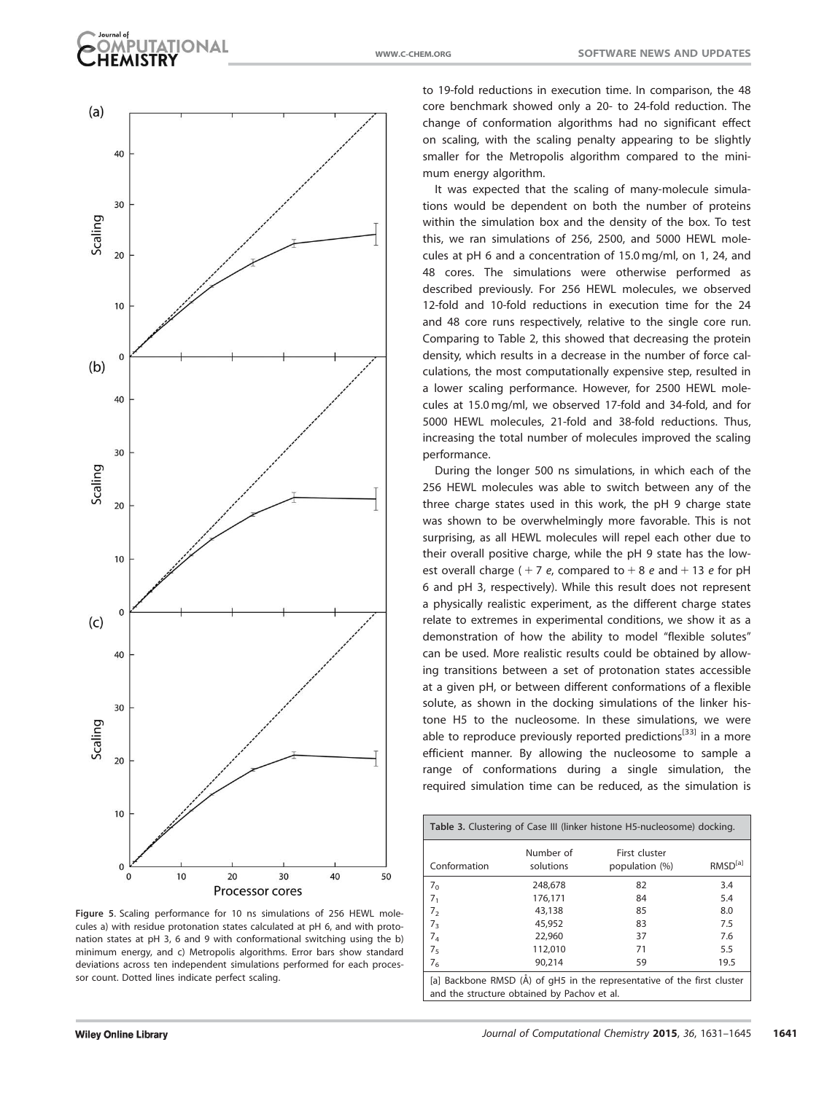



**ONAL** 

Figure 5. Scaling performance for 10 ns simulations of 256 HEWL molecules a) with residue protonation states calculated at pH 6, and with protonation states at pH 3, 6 and 9 with conformational switching using the b) minimum energy, and c) Metropolis algorithms. Error bars show standard deviations across ten independent simulations performed for each processor count. Dotted lines indicate perfect scaling.

to 19-fold reductions in execution time. In comparison, the 48 core benchmark showed only a 20- to 24-fold reduction. The change of conformation algorithms had no significant effect on scaling, with the scaling penalty appearing to be slightly smaller for the Metropolis algorithm compared to the minimum energy algorithm.

It was expected that the scaling of many-molecule simulations would be dependent on both the number of proteins within the simulation box and the density of the box. To test this, we ran simulations of 256, 2500, and 5000 HEWL molecules at pH 6 and a concentration of 15.0 mg/ml, on 1, 24, and 48 cores. The simulations were otherwise performed as described previously. For 256 HEWL molecules, we observed 12-fold and 10-fold reductions in execution time for the 24 and 48 core runs respectively, relative to the single core run. Comparing to Table 2, this showed that decreasing the protein density, which results in a decrease in the number of force calculations, the most computationally expensive step, resulted in a lower scaling performance. However, for 2500 HEWL molecules at 15.0 mg/ml, we observed 17-fold and 34-fold, and for 5000 HEWL molecules, 21-fold and 38-fold reductions. Thus, increasing the total number of molecules improved the scaling performance.

During the longer 500 ns simulations, in which each of the 256 HEWL molecules was able to switch between any of the three charge states used in this work, the pH 9 charge state was shown to be overwhelmingly more favorable. This is not surprising, as all HEWL molecules will repel each other due to their overall positive charge, while the pH 9 state has the lowest overall charge ( $+7$  e, compared to  $+8$  e and  $+13$  e for pH 6 and pH 3, respectively). While this result does not represent a physically realistic experiment, as the different charge states relate to extremes in experimental conditions, we show it as a demonstration of how the ability to model "flexible solutes" can be used. More realistic results could be obtained by allowing transitions between a set of protonation states accessible at a given pH, or between different conformations of a flexible solute, as shown in the docking simulations of the linker histone H5 to the nucleosome. In these simulations, we were able to reproduce previously reported predictions<sup>[33]</sup> in a more efficient manner. By allowing the nucleosome to sample a range of conformations during a single simulation, the required simulation time can be reduced, as the simulation is

| Conformation   | Number of<br>solutions | First cluster<br>population (%) | RMSD <sup>[a]</sup> |
|----------------|------------------------|---------------------------------|---------------------|
| 7 <sub>0</sub> | 248,678                | 82                              | 3.4                 |
| 7 <sub>1</sub> | 176,171                | 84                              | 5.4                 |
| 7 <sub>2</sub> | 43,138                 | 85                              | 8.0                 |
| 7 <sub>3</sub> | 45,952                 | 83                              | 7.5                 |
| 7 <sub>4</sub> | 22,960                 | 37                              | 7.6                 |
| 7 <sub>5</sub> | 112,010                | 71                              | 5.5                 |
| 7 <sub>6</sub> | 90,214                 | 59                              | 19.5                |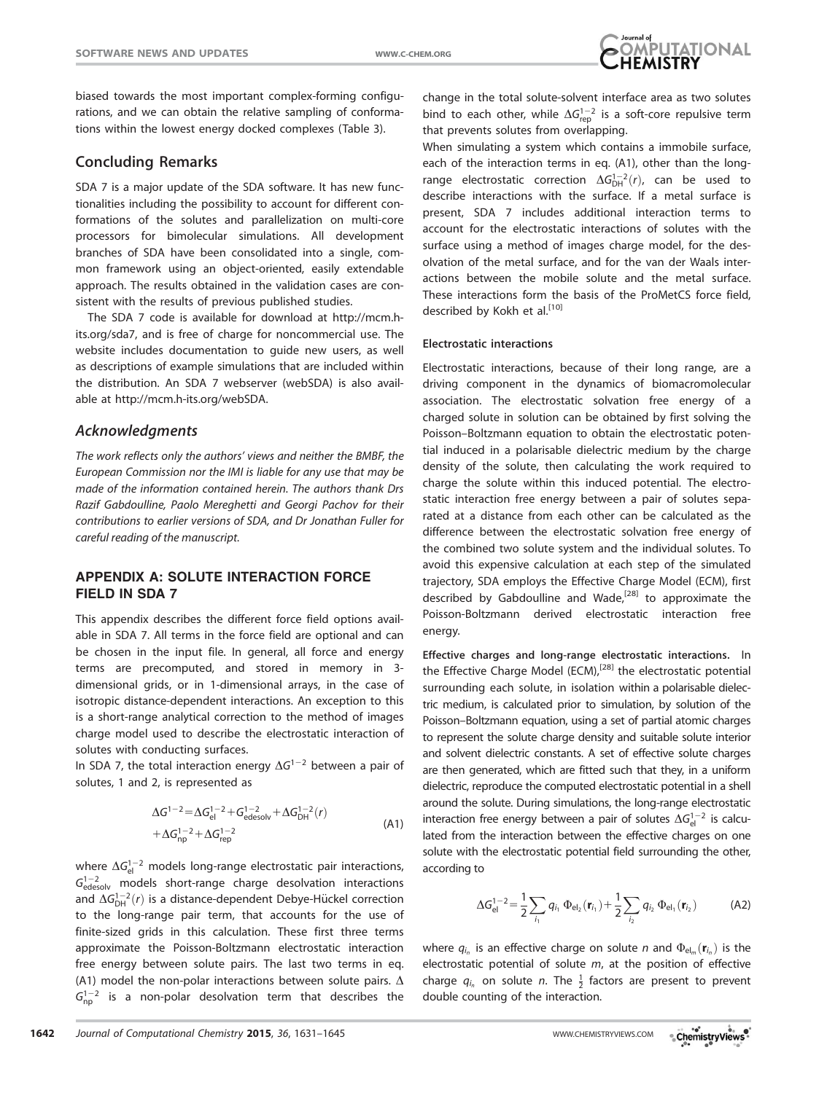

biased towards the most important complex-forming configurations, and we can obtain the relative sampling of conformations within the lowest energy docked complexes (Table 3).

# Concluding Remarks

SDA 7 is a major update of the SDA software. It has new functionalities including the possibility to account for different conformations of the solutes and parallelization on multi-core processors for bimolecular simulations. All development branches of SDA have been consolidated into a single, common framework using an object-oriented, easily extendable approach. The results obtained in the validation cases are consistent with the results of previous published studies.

The SDA 7 code is available for download at [http://mcm.h](http://mcm.h-its.org/sda7)[its.org/sda7](http://mcm.h-its.org/sda7), and is free of charge for noncommercial use. The website includes documentation to guide new users, as well as descriptions of example simulations that are included within the distribution. An SDA 7 webserver (webSDA) is also available at [http://mcm.h-its.org/webSDA.](http://mcm.h-its.org/webSDA)

# Acknowledgments

The work reflects only the authors' views and neither the BMBF, the European Commission nor the IMI is liable for any use that may be made of the information contained herein. The authors thank Drs Razif Gabdoulline, Paolo Mereghetti and Georgi Pachov for their contributions to earlier versions of SDA, and Dr Jonathan Fuller for careful reading of the manuscript.

# APPENDIX A: SOLUTE INTERACTION FORCE FIELD IN SDA 7

This appendix describes the different force field options available in SDA 7. All terms in the force field are optional and can be chosen in the input file. In general, all force and energy terms are precomputed, and stored in memory in 3 dimensional grids, or in 1-dimensional arrays, in the case of isotropic distance-dependent interactions. An exception to this is a short-range analytical correction to the method of images charge model used to describe the electrostatic interaction of solutes with conducting surfaces.

In SDA 7, the total interaction energy  $\Delta G^{1-2}$  between a pair of solutes, 1 and 2, is represented as

$$
\Delta G^{1-2} = \Delta G_{\text{el}}^{1-2} + G_{\text{edesolv}}^{1-2} + \Delta G_{\text{DH}}^{1-2}(r) + \Delta G_{\text{DP}}^{1-2} + \Delta G_{\text{rep}}^{1-2}
$$
(A1)

where  $\Delta G_{el}^{1-2}$  models long-range electrostatic pair interactions,  $G_{\text{edesolv}}^{1-2}$  models short-range charge desolvation interactions and  $\Delta G_{DH}^{1-2}(r)$  is a distance-dependent Debye-Hückel correction to the long-range pair term, that accounts for the use of finite-sized grids in this calculation. These first three terms approximate the Poisson-Boltzmann electrostatic interaction free energy between solute pairs. The last two terms in eq. (A1) model the non-polar interactions between solute pairs.  $\Delta$  $G_{nn}^{1-2}$  is a non-polar desolvation term that describes the

change in the total solute-solvent interface area as two solutes bind to each other, while  $\Delta G_{\text{ren}}^{1-2}$  is a soft-core repulsive term that prevents solutes from overlapping.

When simulating a system which contains a immobile surface, each of the interaction terms in eq. (A1), other than the longrange electrostatic correction  $\Delta G_{DH}^{1-2}(r)$ , can be used to describe interactions with the surface. If a metal surface is present, SDA 7 includes additional interaction terms to account for the electrostatic interactions of solutes with the surface using a method of images charge model, for the desolvation of the metal surface, and for the van der Waals interactions between the mobile solute and the metal surface. These interactions form the basis of the ProMetCS force field, described by Kokh et al.<sup>[10]</sup>

#### Electrostatic interactions

Electrostatic interactions, because of their long range, are a driving component in the dynamics of biomacromolecular association. The electrostatic solvation free energy of a charged solute in solution can be obtained by first solving the Poisson–Boltzmann equation to obtain the electrostatic potential induced in a polarisable dielectric medium by the charge density of the solute, then calculating the work required to charge the solute within this induced potential. The electrostatic interaction free energy between a pair of solutes separated at a distance from each other can be calculated as the difference between the electrostatic solvation free energy of the combined two solute system and the individual solutes. To avoid this expensive calculation at each step of the simulated trajectory, SDA employs the Effective Charge Model (ECM), first described by Gabdoulline and Wade,<sup>[28]</sup> to approximate the Poisson-Boltzmann derived electrostatic interaction free energy.

Effective charges and long-range electrostatic interactions. In the Effective Charge Model (ECM),<sup>[28]</sup> the electrostatic potential surrounding each solute, in isolation within a polarisable dielectric medium, is calculated prior to simulation, by solution of the Poisson–Boltzmann equation, using a set of partial atomic charges to represent the solute charge density and suitable solute interior and solvent dielectric constants. A set of effective solute charges are then generated, which are fitted such that they, in a uniform dielectric, reproduce the computed electrostatic potential in a shell around the solute. During simulations, the long-range electrostatic interaction free energy between a pair of solutes  $\Delta G_{el}^{1-2}$  is calculated from the interaction between the effective charges on one solute with the electrostatic potential field surrounding the other, according to

$$
\Delta G_{\text{el}}^{1-2} = \frac{1}{2} \sum_{i_1} q_{i_1} \, \Phi_{\text{el}_2}(\mathbf{r}_{i_1}) + \frac{1}{2} \sum_{i_2} q_{i_2} \, \Phi_{\text{el}_1}(\mathbf{r}_{i_2}) \tag{A2}
$$

where  $q_{i_n}$  is an effective charge on solute n and  $\Phi_{\text{el}_m}(\mathbf{r}_{i_n})$  is the electrostatic potential of solute  $m$ , at the position of effective charge  $q_{i_n}$  on solute *n*. The  $\frac{1}{2}$  factors are present to prevent double counting of the interaction.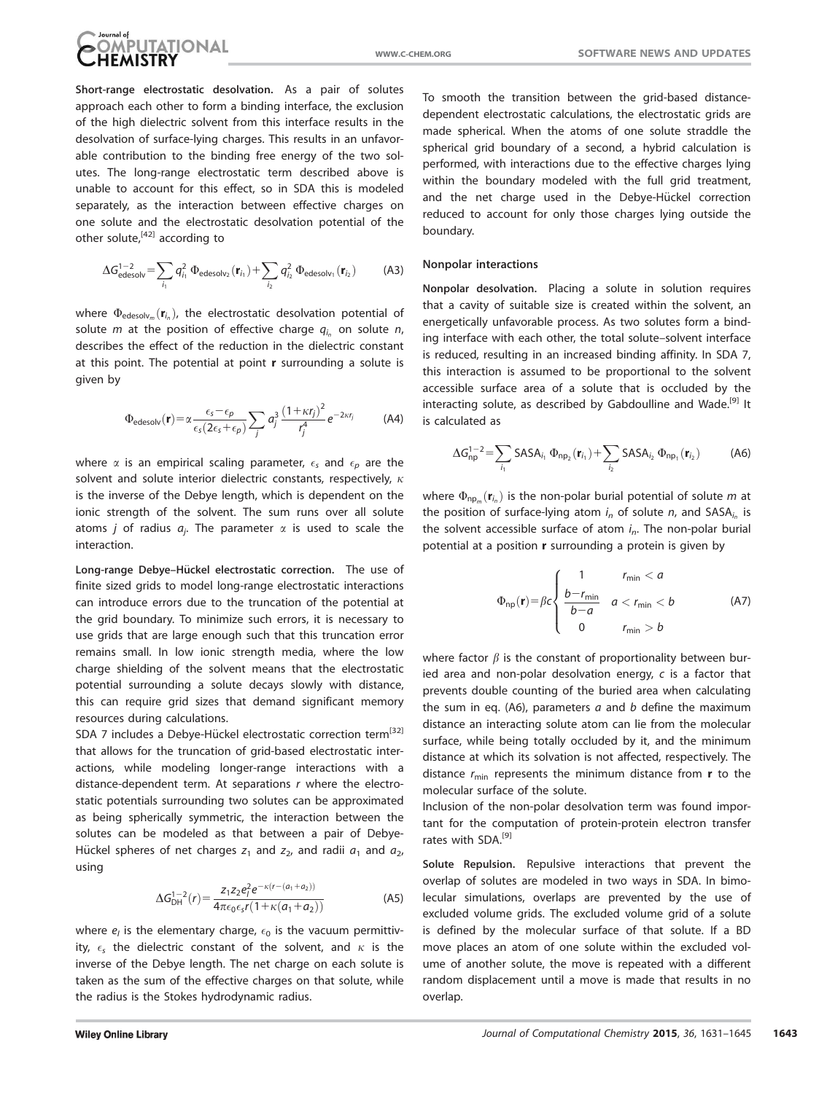

Short-range electrostatic desolvation. As a pair of solutes approach each other to form a binding interface, the exclusion of the high dielectric solvent from this interface results in the desolvation of surface-lying charges. This results in an unfavorable contribution to the binding free energy of the two solutes. The long-range electrostatic term described above is unable to account for this effect, so in SDA this is modeled separately, as the interaction between effective charges on one solute and the electrostatic desolvation potential of the other solute,<sup>[42]</sup> according to

$$
\Delta G_{\text{edesolv}}^{1-2} = \sum_{i_1} q_{i_1}^2 \Phi_{\text{edesolv}_2}(\mathbf{r}_{i_1}) + \sum_{i_2} q_{i_2}^2 \Phi_{\text{edesolv}_1}(\mathbf{r}_{i_2}) \tag{A3}
$$

where  $\Phi_{\text{edesolv}_m}(\mathbf{r}_{i_n})$ , the electrostatic desolvation potential of solute m at the position of effective charge  $q_{i_n}$  on solute n, describes the effect of the reduction in the dielectric constant at this point. The potential at point  **surrounding a solute is** given by

$$
\Phi_{\text{edesolv}}(\mathbf{r}) = \alpha \frac{\epsilon_s - \epsilon_p}{\epsilon_s (2\epsilon_s + \epsilon_p)} \sum_j a_j^3 \frac{(1 + \kappa r_j)^2}{r_j^4} e^{-2\kappa r_j} \tag{A4}
$$

where  $\alpha$  is an empirical scaling parameter,  $\epsilon_{\mathsf{s}}$  and  $\epsilon_{\mathsf{p}}$  are the solvent and solute interior dielectric constants, respectively,  $\kappa$ is the inverse of the Debye length, which is dependent on the ionic strength of the solvent. The sum runs over all solute atoms *j* of radius  $a_j$ . The parameter  $\alpha$  is used to scale the interaction.

Long-range Debye-Hückel electrostatic correction. The use of finite sized grids to model long-range electrostatic interactions can introduce errors due to the truncation of the potential at the grid boundary. To minimize such errors, it is necessary to use grids that are large enough such that this truncation error remains small. In low ionic strength media, where the low charge shielding of the solvent means that the electrostatic potential surrounding a solute decays slowly with distance, this can require grid sizes that demand significant memory resources during calculations.

SDA 7 includes a Debye-Hückel electrostatic correction term<sup>[32]</sup> that allows for the truncation of grid-based electrostatic interactions, while modeling longer-range interactions with a distance-dependent term. At separations  $r$  where the electrostatic potentials surrounding two solutes can be approximated as being spherically symmetric, the interaction between the solutes can be modeled as that between a pair of Debye-Hückel spheres of net charges  $z_1$  and  $z_2$ , and radii  $a_1$  and  $a_2$ , using

$$
\Delta G_{\text{DH}}^{1-2}(r) = \frac{z_1 z_2 e_f^2 e^{-\kappa(r - (a_1 + a_2))}}{4\pi\epsilon_0 \epsilon_s r (1 + \kappa(a_1 + a_2))}
$$
(A5)

where  $e_i$  is the elementary charge,  $\epsilon_0$  is the vacuum permittivity,  $\epsilon_{\mathsf{s}}$  the dielectric constant of the solvent, and  $\kappa$  is the inverse of the Debye length. The net charge on each solute is taken as the sum of the effective charges on that solute, while the radius is the Stokes hydrodynamic radius.

To smooth the transition between the grid-based distancedependent electrostatic calculations, the electrostatic grids are made spherical. When the atoms of one solute straddle the spherical grid boundary of a second, a hybrid calculation is performed, with interactions due to the effective charges lying within the boundary modeled with the full grid treatment, and the net charge used in the Debye-Hückel correction reduced to account for only those charges lying outside the boundary.

#### Nonpolar interactions

Nonpolar desolvation. Placing a solute in solution requires that a cavity of suitable size is created within the solvent, an energetically unfavorable process. As two solutes form a binding interface with each other, the total solute–solvent interface is reduced, resulting in an increased binding affinity. In SDA 7, this interaction is assumed to be proportional to the solvent accessible surface area of a solute that is occluded by the interacting solute, as described by Gabdoulline and Wade.<sup>[9]</sup> It is calculated as

$$
\Delta G_{np}^{1-2} = \sum_{i_1} SASA_{i_1} \Phi_{np_2}(\mathbf{r}_{i_1}) + \sum_{i_2} SASA_{i_2} \Phi_{np_1}(\mathbf{r}_{i_2})
$$
 (A6)

where  $\Phi_{\text{np}_m}(\mathbf{r}_{i_n})$  is the non-polar burial potential of solute m at the position of surface-lying atom  $i_n$  of solute n, and SASA $i_n$  is the solvent accessible surface of atom  $i_n$ . The non-polar burial potential at a position r surrounding a protein is given by

$$
\Phi_{\text{np}}(\mathbf{r}) = \beta c \begin{cases}\n1 & r_{\text{min}} < a \\
\frac{b - r_{\text{min}}}{b - a} & a < r_{\text{min}} < b \\
0 & r_{\text{min}} > b\n\end{cases}
$$
\n(A7)

where factor  $\beta$  is the constant of proportionality between buried area and non-polar desolvation energy, c is a factor that prevents double counting of the buried area when calculating the sum in eq. (A6), parameters  $a$  and  $b$  define the maximum distance an interacting solute atom can lie from the molecular surface, while being totally occluded by it, and the minimum distance at which its solvation is not affected, respectively. The distance  $r_{\text{min}}$  represents the minimum distance from  $\mathbf{r}$  to the molecular surface of the solute.

Inclusion of the non-polar desolvation term was found important for the computation of protein-protein electron transfer rates with SDA.<sup>[9]</sup>

Solute Repulsion. Repulsive interactions that prevent the overlap of solutes are modeled in two ways in SDA. In bimolecular simulations, overlaps are prevented by the use of excluded volume grids. The excluded volume grid of a solute is defined by the molecular surface of that solute. If a BD move places an atom of one solute within the excluded volume of another solute, the move is repeated with a different random displacement until a move is made that results in no overlap.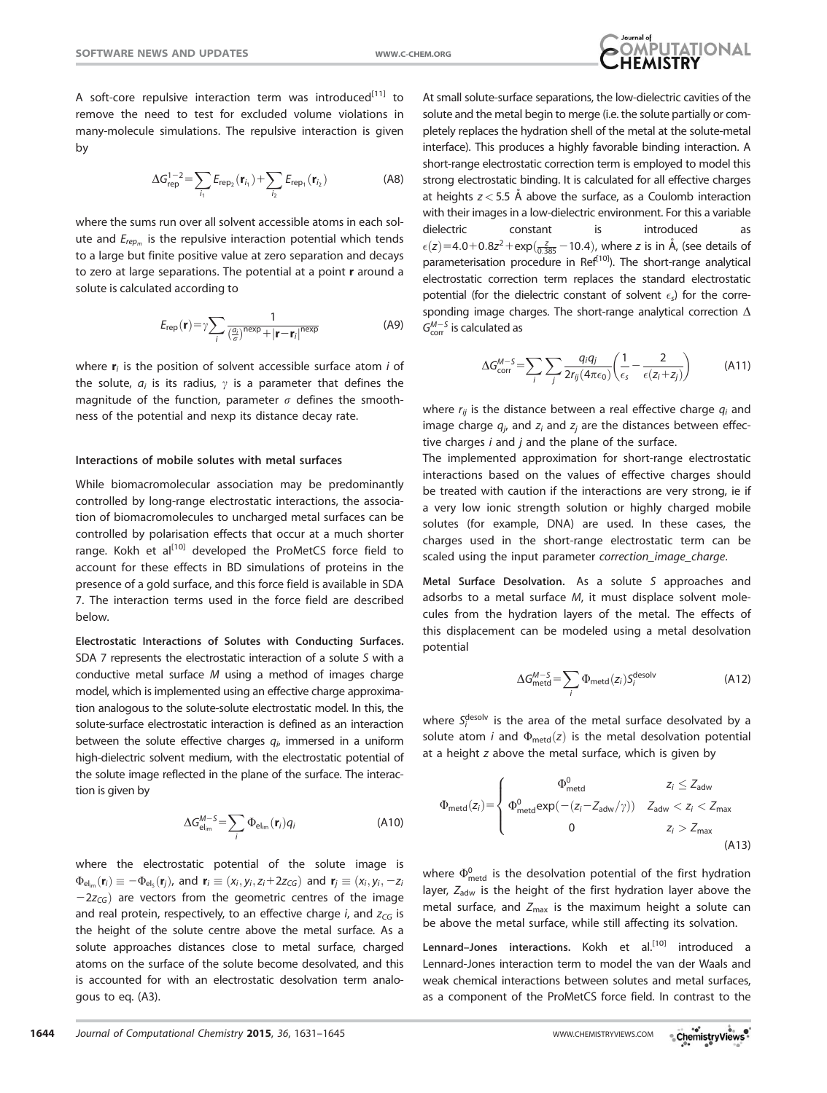

A soft-core repulsive interaction term was introduced $^{[11]}$  to remove the need to test for excluded volume violations in many-molecule simulations. The repulsive interaction is given by

$$
\Delta G_{\text{rep}}^{1-2} = \sum_{i_1} E_{\text{rep}_2}(\mathbf{r}_{i_1}) + \sum_{i_2} E_{\text{rep}_1}(\mathbf{r}_{i_2})
$$
 (A8)

where the sums run over all solvent accessible atoms in each solute and  $E_{rep_m}$  is the repulsive interaction potential which tends to a large but finite positive value at zero separation and decays to zero at large separations. The potential at a point **r** around a solute is calculated according to

$$
E_{\rm rep}(\mathbf{r}) = \gamma \sum_i \frac{1}{\left(\frac{a_i}{\sigma}\right)^{\rm nexp} + |\mathbf{r} - \mathbf{r}_i|^{\rm nexp}} \tag{A9}
$$

where  $\mathbf{r}_i$  is the position of solvent accessible surface atom i of the solute,  $a_i$  is its radius,  $\gamma$  is a parameter that defines the magnitude of the function, parameter  $\sigma$  defines the smoothness of the potential and nexp its distance decay rate.

#### Interactions of mobile solutes with metal surfaces

While biomacromolecular association may be predominantly controlled by long-range electrostatic interactions, the association of biomacromolecules to uncharged metal surfaces can be controlled by polarisation effects that occur at a much shorter range. Kokh et al<sup>[10]</sup> developed the ProMetCS force field to account for these effects in BD simulations of proteins in the presence of a gold surface, and this force field is available in SDA 7. The interaction terms used in the force field are described below.

Electrostatic Interactions of Solutes with Conducting Surfaces. SDA 7 represents the electrostatic interaction of a solute S with a conductive metal surface M using a method of images charge model, which is implemented using an effective charge approximation analogous to the solute-solute electrostatic model. In this, the solute-surface electrostatic interaction is defined as an interaction between the solute effective charges  $q_{ij}$  immersed in a uniform high-dielectric solvent medium, with the electrostatic potential of the solute image reflected in the plane of the surface. The interaction is given by

$$
\Delta G_{\text{el}_{\text{im}}}^{M-S} = \sum_{i} \Phi_{\text{el}_{\text{im}}}(\mathbf{r}_{i}) q_{i}
$$
 (A10)

where the electrostatic potential of the solute image is  $\Phi_{\text{elm}}(\mathbf{r}_i) \equiv -\Phi_{\text{ele}}(\mathbf{r}_i)$ , and  $\mathbf{r}_i \equiv (x_i, y_i, z_i + 2z_{CG})$  and  $\mathbf{r}_i \equiv (x_i, y_i, -z_i)$  $-2z_{CG}$ ) are vectors from the geometric centres of the image and real protein, respectively, to an effective charge  $i$ , and  $z_{CG}$  is the height of the solute centre above the metal surface. As a solute approaches distances close to metal surface, charged atoms on the surface of the solute become desolvated, and this is accounted for with an electrostatic desolvation term analogous to eq. (A3).

At small solute-surface separations, the low-dielectric cavities of the solute and the metal begin to merge (i.e. the solute partially or completely replaces the hydration shell of the metal at the solute-metal interface). This produces a highly favorable binding interaction. A short-range electrostatic correction term is employed to model this strong electrostatic binding. It is calculated for all effective charges at heights  $z < 5.5$  Å above the surface, as a Coulomb interaction with their images in a low-dielectric environment. For this a variable dielectric constant is introduced as  $\epsilon(z) = 4.0 + 0.8z^2 + \exp(\frac{z}{0.385} - 10.4)$ , where z is in Å, (see details of parameterisation procedure in Ref $^{[10]}$ ). The short-range analytical electrostatic correction term replaces the standard electrostatic potential (for the dielectric constant of solvent  $\epsilon_{\mathsf{s}}$ ) for the corresponding image charges. The short-range analytical correction  $\Delta$  $G_{\text{corr}}^{M-S}$  is calculated as

$$
\Delta G_{\text{corr}}^{M-S} = \sum_{i} \sum_{j} \frac{q_i q_j}{2r_{ij}(4\pi\epsilon_0)} \left(\frac{1}{\epsilon_s} - \frac{2}{\epsilon(z_i + z_j)}\right) \tag{A11}
$$

where  $r_{ij}$  is the distance between a real effective charge  $q_i$  and image charge  $q_{j}$ , and  $z_{i}$  and  $z_{j}$  are the distances between effective charges  $i$  and  $j$  and the plane of the surface.

The implemented approximation for short-range electrostatic interactions based on the values of effective charges should be treated with caution if the interactions are very strong, ie if a very low ionic strength solution or highly charged mobile solutes (for example, DNA) are used. In these cases, the charges used in the short-range electrostatic term can be scaled using the input parameter correction\_image\_charge.

Metal Surface Desolvation. As a solute S approaches and adsorbs to a metal surface M, it must displace solvent molecules from the hydration layers of the metal. The effects of this displacement can be modeled using a metal desolvation potential

$$
\Delta G_{\text{metd}}^{M-S} = \sum_{i} \Phi_{\text{metd}}(z_i) S_i^{\text{desolv}} \tag{A12}
$$

where  $S_i^{\text{desolv}}$  is the area of the metal surface desolvated by a solute atom i and  $\Phi_{\text{metal}}(z)$  is the metal desolvation potential at a height z above the metal surface, which is given by

$$
\Phi_{\text{metal}}(z_i) = \begin{cases} \Phi_{\text{metal}}^0 & z_i \leq Z_{\text{adv}} \\ \Phi_{\text{metal}}^0 \exp(-(z_i - Z_{\text{adv}}/\gamma)) & Z_{\text{adv}} < z_i < Z_{\text{max}} \\ 0 & z_i > Z_{\text{max}} \end{cases} \tag{A13}
$$

where  $\Phi_{\sf metal}^0$  is the desolvation potential of the first hydration layer,  $Z_{\text{adv}}$  is the height of the first hydration layer above the metal surface, and  $Z_{\text{max}}$  is the maximum height a solute can be above the metal surface, while still affecting its solvation.

Lennard–Jones interactions. Kokh et al.<sup>[10]</sup> introduced a Lennard-Jones interaction term to model the van der Waals and weak chemical interactions between solutes and metal surfaces, as a component of the ProMetCS force field. In contrast to the